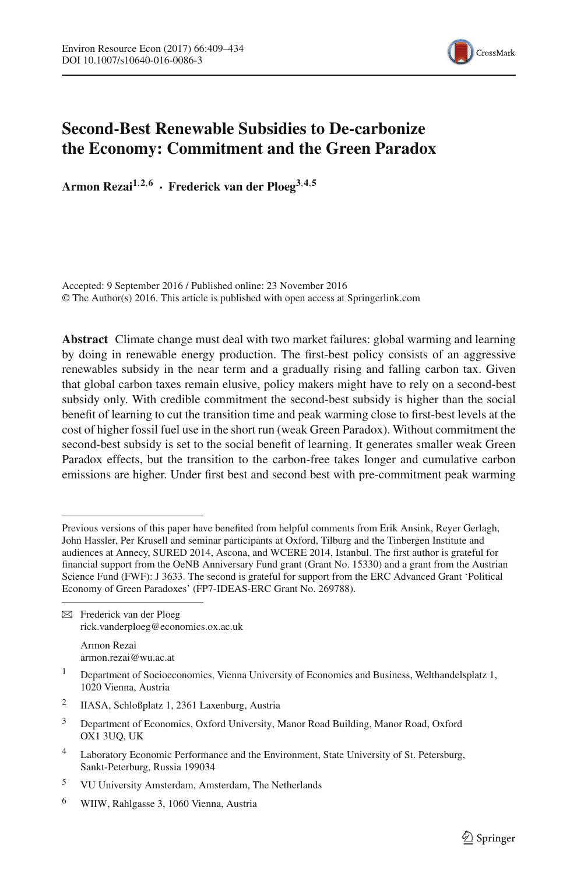

# **Second-Best Renewable Subsidies to De-carbonize the Economy: Commitment and the Green Paradox**

**Armon Rezai1**,**2**,**<sup>6</sup> · Frederick van der Ploeg3**,**4**,**<sup>5</sup>**

Accepted: 9 September 2016 / Published online: 23 November 2016 © The Author(s) 2016. This article is published with open access at Springerlink.com

**Abstract** Climate change must deal with two market failures: global warming and learning by doing in renewable energy production. The first-best policy consists of an aggressive renewables subsidy in the near term and a gradually rising and falling carbon tax. Given that global carbon taxes remain elusive, policy makers might have to rely on a second-best subsidy only. With credible commitment the second-best subsidy is higher than the social benefit of learning to cut the transition time and peak warming close to first-best levels at the cost of higher fossil fuel use in the short run (weak Green Paradox). Without commitment the second-best subsidy is set to the social benefit of learning. It generates smaller weak Green Paradox effects, but the transition to the carbon-free takes longer and cumulative carbon emissions are higher. Under first best and second best with pre-commitment peak warming

Armon Rezai armon.rezai@wu.ac.at

Previous versions of this paper have benefited from helpful comments from Erik Ansink, Reyer Gerlagh, John Hassler, Per Krusell and seminar participants at Oxford, Tilburg and the Tinbergen Institute and audiences at Annecy, SURED 2014, Ascona, and WCERE 2014, Istanbul. The first author is grateful for financial support from the OeNB Anniversary Fund grant (Grant No. 15330) and a grant from the Austrian Science Fund (FWF): J 3633. The second is grateful for support from the ERC Advanced Grant 'Political Economy of Green Paradoxes' (FP7-IDEAS-ERC Grant No. 269788).

 $\boxtimes$  Frederick van der Ploeg rick.vanderploeg@economics.ox.ac.uk

<sup>&</sup>lt;sup>1</sup> Department of Socioeconomics, Vienna University of Economics and Business, Welthandelsplatz 1, 1020 Vienna, Austria

<sup>2</sup> IIASA, Schloßplatz 1, 2361 Laxenburg, Austria

<sup>3</sup> Department of Economics, Oxford University, Manor Road Building, Manor Road, Oxford OX1 3UQ, UK

<sup>4</sup> Laboratory Economic Performance and the Environment, State University of St. Petersburg, Sankt-Peterburg, Russia 199034

<sup>5</sup> VU University Amsterdam, Amsterdam, The Netherlands

<sup>6</sup> WIIW, Rahlgasse 3, 1060 Vienna, Austria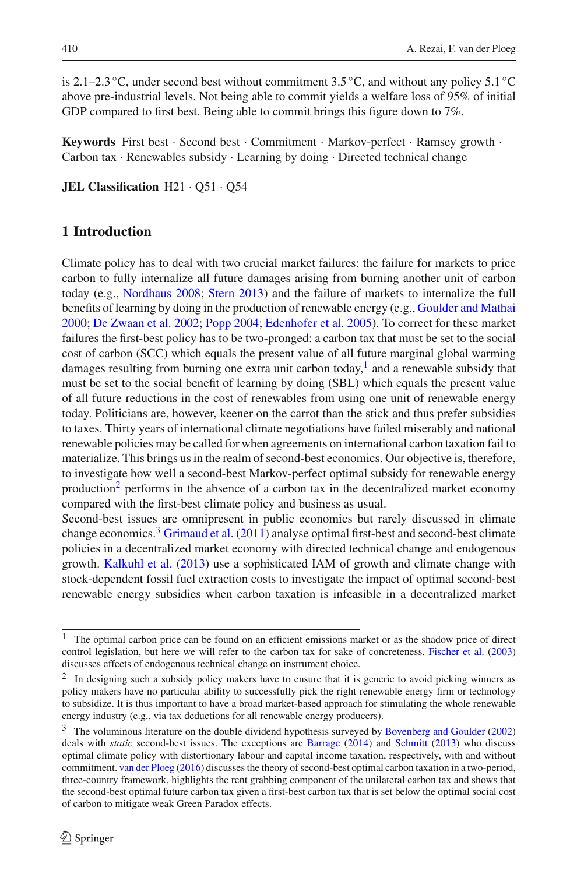is 2.1–2.3 °C, under second best without commitment 3.5 °C, and without any policy 5.1 °C above pre-industrial levels. Not being able to commit yields a welfare loss of 95% of initial GDP compared to first best. Being able to commit brings this figure down to 7%.

**Keywords** First best · Second best · Commitment · Markov-perfect · Ramsey growth · Carbon tax · Renewables subsidy · Learning by doing · Directed technical change

**JEL Classification** H21 · Q51 · Q54

## **1 Introduction**

Climate policy has to deal with two crucial market failures: the failure for markets to price carbon to fully internalize all future damages arising from burning another unit of carbon today (e.g., [Nordhaus 2008;](#page-25-0) [Stern 2013\)](#page-25-1) and the failure of markets to internalize the full benefits of learning by doing in the production of renewable energy (e.g., [Goulder and Mathai](#page-24-0) [2000](#page-24-0); [De Zwaan et al. 2002;](#page-25-2) [Popp 2004](#page-25-3); [Edenhofer et al. 2005](#page-24-1)). To correct for these market failures the first-best policy has to be two-pronged: a carbon tax that must be set to the social cost of carbon (SCC) which equals the present value of all future marginal global warming damages resulting from burning one extra unit carbon today, $\frac{1}{2}$  $\frac{1}{2}$  $\frac{1}{2}$  and a renewable subsidy that must be set to the social benefit of learning by doing (SBL) which equals the present value of all future reductions in the cost of renewables from using one unit of renewable energy today. Politicians are, however, keener on the carrot than the stick and thus prefer subsidies to taxes. Thirty years of international climate negotiations have failed miserably and national renewable policies may be called for when agreements on international carbon taxation fail to materialize. This brings us in the realm of second-best economics. Our objective is, therefore, to investigate how well a second-best Markov-perfect optimal subsidy for renewable energy production<sup>[2](#page-1-1)</sup> performs in the absence of a carbon tax in the decentralized market economy compared with the first-best climate policy and business as usual.

Second-best issues are omnipresent in public economics but rarely discussed in climate change economics.<sup>3</sup> [Grimaud et al.](#page-24-2) [\(2011](#page-24-2)) analyse optimal first-best and second-best climate policies in a decentralized market economy with directed technical change and endogenous growth. [Kalkuhl et al.](#page-24-3) [\(2013](#page-24-3)) use a sophisticated IAM of growth and climate change with stock-dependent fossil fuel extraction costs to investigate the impact of optimal second-best renewable energy subsidies when carbon taxation is infeasible in a decentralized market

<span id="page-1-0"></span><sup>1</sup> The optimal carbon price can be found on an efficient emissions market or as the shadow price of direct control legislation, but here we will refer to the carbon tax for sake of concreteness. [Fischer et al.](#page-24-4) [\(2003](#page-24-4)) discusses effects of endogenous technical change on instrument choice.

<span id="page-1-1"></span><sup>&</sup>lt;sup>2</sup> In designing such a subsidy policy makers have to ensure that it is generic to avoid picking winners as policy makers have no particular ability to successfully pick the right renewable energy firm or technology to subsidize. It is thus important to have a broad market-based approach for stimulating the whole renewable energy industry (e.g., via tax deductions for all renewable energy producers).

<span id="page-1-2"></span> $3$  The voluminous literature on the double dividend hypothesis surveyed by [Bovenberg and Goulder](#page-24-5) [\(2002](#page-24-5)) deals with *static* second-best issues. The exceptions are [Barrage](#page-24-6) [\(2014\)](#page-24-6) and [Schmitt](#page-25-4) [\(2013\)](#page-25-4) who discuss optimal climate policy with distortionary labour and capital income taxation, respectively, with and without commitment. [van der Ploeg](#page-25-5) [\(2016](#page-25-5)) discusses the theory of second-best optimal carbon taxation in a two-period, three-country framework, highlights the rent grabbing component of the unilateral carbon tax and shows that the second-best optimal future carbon tax given a first-best carbon tax that is set below the optimal social cost of carbon to mitigate weak Green Paradox effects.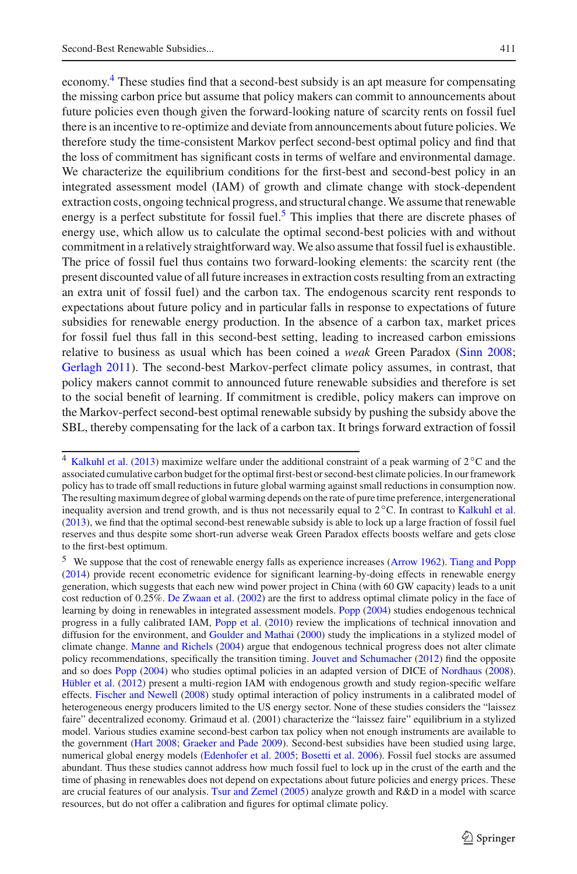economy.[4](#page-2-0) These studies find that a second-best subsidy is an apt measure for compensating the missing carbon price but assume that policy makers can commit to announcements about future policies even though given the forward-looking nature of scarcity rents on fossil fuel there is an incentive to re-optimize and deviate from announcements about future policies. We therefore study the time-consistent Markov perfect second-best optimal policy and find that the loss of commitment has significant costs in terms of welfare and environmental damage. We characterize the equilibrium conditions for the first-best and second-best policy in an integrated assessment model (IAM) of growth and climate change with stock-dependent extraction costs, ongoing technical progress, and structural change.We assume that renewable energy is a perfect substitute for fossil fuel.<sup>5</sup> This implies that there are discrete phases of energy use, which allow us to calculate the optimal second-best policies with and without commitment in a relatively straightforward way.We also assume that fossil fuel is exhaustible. The price of fossil fuel thus contains two forward-looking elements: the scarcity rent (the present discounted value of all future increases in extraction costs resulting from an extracting an extra unit of fossil fuel) and the carbon tax. The endogenous scarcity rent responds to expectations about future policy and in particular falls in response to expectations of future subsidies for renewable energy production. In the absence of a carbon tax, market prices for fossil fuel thus fall in this second-best setting, leading to increased carbon emissions relative to business as usual which has been coined a *weak* Green Paradox [\(Sinn 2008](#page-25-6); [Gerlagh 2011\)](#page-24-7). The second-best Markov-perfect climate policy assumes, in contrast, that policy makers cannot commit to announced future renewable subsidies and therefore is set to the social benefit of learning. If commitment is credible, policy makers can improve on the Markov-perfect second-best optimal renewable subsidy by pushing the subsidy above the SBL, thereby compensating for the lack of a carbon tax. It brings forward extraction of fossil

<span id="page-2-0"></span><sup>4</sup> [Kalkuhl et al.](#page-24-3) [\(2013](#page-24-3)) maximize welfare under the additional constraint of a peak warming of 2 ◦C and the associated cumulative carbon budget for the optimal first-best or second-best climate policies. In our framework policy has to trade off small reductions in future global warming against small reductions in consumption now. The resulting maximum degree of global warming depends on the rate of pure time preference, intergenerational inequality aversion and trend growth, and is thus not necessarily equal to  $2^{\circ}$ C. In contrast to [Kalkuhl et al.](#page-24-3) [\(2013\)](#page-24-3), we find that the optimal second-best renewable subsidy is able to lock up a large fraction of fossil fuel reserves and thus despite some short-run adverse weak Green Paradox effects boosts welfare and gets close to the first-best optimum.

<span id="page-2-1"></span><sup>5</sup> We suppose that the cost of renewable energy falls as experience increases [\(Arrow 1962](#page-24-8)). [Tiang and Popp](#page-25-7) [\(2014\)](#page-25-7) provide recent econometric evidence for significant learning-by-doing effects in renewable energy generation, which suggests that each new wind power project in China (with 60 GW capacity) leads to a unit cost reduction of 0.25%. [De Zwaan et al.](#page-25-2) [\(2002](#page-25-2)) are the first to address optimal climate policy in the face of learning by doing in renewables in integrated assessment models. [Popp](#page-25-3) [\(2004](#page-25-3)) studies endogenous technical progress in a fully calibrated IAM, [Popp et al.](#page-25-8) [\(2010](#page-25-8)) review the implications of technical innovation and diffusion for the environment, and [Goulder and Mathai](#page-24-0) [\(2000\)](#page-24-0) study the implications in a stylized model of climate change. [Manne and Richels](#page-25-9) [\(2004](#page-25-9)) argue that endogenous technical progress does not alter climate policy recommendations, specifically the transition timing. [Jouvet and Schumacher](#page-24-9) [\(2012\)](#page-24-9) find the opposite and so does [Popp](#page-25-3) [\(2004](#page-25-3)) who studies optimal policies in an adapted version of DICE of [Nordhaus](#page-25-0) [\(2008](#page-25-0)). [Hübler et al.](#page-24-10) [\(2012](#page-24-10)) present a multi-region IAM with endogenous growth and study region-specific welfare effects. [Fischer and Newell](#page-24-11) [\(2008](#page-24-11)) study optimal interaction of policy instruments in a calibrated model of heterogeneous energy producers limited to the US energy sector. None of these studies considers the "laissez faire" decentralized economy. Grimaud et al. (2001) characterize the "laissez faire" equilibrium in a stylized model. Various studies examine second-best carbon tax policy when not enough instruments are available to the government [\(Hart 2008;](#page-24-12) [Graeker and Pade 2009](#page-24-13)). Second-best subsidies have been studied using large, numerical global energy models [\(Edenhofer et al. 2005;](#page-24-1) [Bosetti et al. 2006](#page-24-14)). Fossil fuel stocks are assumed abundant. Thus these studies cannot address how much fossil fuel to lock up in the crust of the earth and the time of phasing in renewables does not depend on expectations about future policies and energy prices. These are crucial features of our analysis. [Tsur and Zemel](#page-25-10) [\(2005](#page-25-10)) analyze growth and R&D in a model with scarce resources, but do not offer a calibration and figures for optimal climate policy.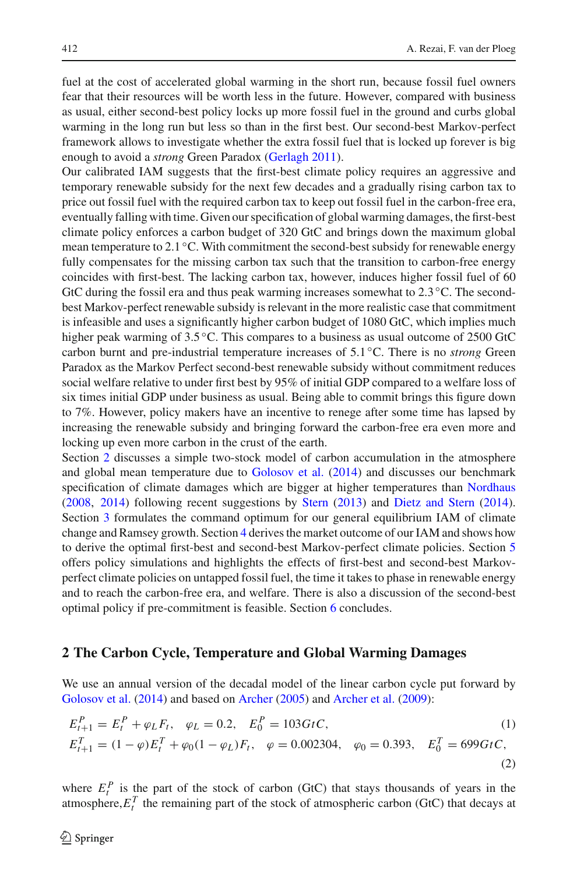fuel at the cost of accelerated global warming in the short run, because fossil fuel owners fear that their resources will be worth less in the future. However, compared with business as usual, either second-best policy locks up more fossil fuel in the ground and curbs global warming in the long run but less so than in the first best. Our second-best Markov-perfect framework allows to investigate whether the extra fossil fuel that is locked up forever is big enough to avoid a *strong* Green Paradox [\(Gerlagh 2011\)](#page-24-7).

Our calibrated IAM suggests that the first-best climate policy requires an aggressive and temporary renewable subsidy for the next few decades and a gradually rising carbon tax to price out fossil fuel with the required carbon tax to keep out fossil fuel in the carbon-free era, eventually falling with time. Given our specification of global warming damages, the first-best climate policy enforces a carbon budget of 320 GtC and brings down the maximum global mean temperature to 2.1  $\degree$ C. With commitment the second-best subsidy for renewable energy fully compensates for the missing carbon tax such that the transition to carbon-free energy coincides with first-best. The lacking carbon tax, however, induces higher fossil fuel of 60 GtC during the fossil era and thus peak warming increases somewhat to  $2.3 \degree C$ . The secondbest Markov-perfect renewable subsidy is relevant in the more realistic case that commitment is infeasible and uses a significantly higher carbon budget of 1080 GtC, which implies much higher peak warming of 3.5 °C. This compares to a business as usual outcome of 2500 GtC carbon burnt and pre-industrial temperature increases of 5.1 ◦C. There is no *strong* Green Paradox as the Markov Perfect second-best renewable subsidy without commitment reduces social welfare relative to under first best by 95% of initial GDP compared to a welfare loss of six times initial GDP under business as usual. Being able to commit brings this figure down to 7%. However, policy makers have an incentive to renege after some time has lapsed by increasing the renewable subsidy and bringing forward the carbon-free era even more and locking up even more carbon in the crust of the earth.

Section [2](#page-3-0) discusses a simple two-stock model of carbon accumulation in the atmosphere and global mean temperature due to [Golosov et al.](#page-24-15) [\(2014](#page-24-15)) and discusses our benchmark specification of climate damages which are bigger at higher temperatures than [Nordhaus](#page-25-0) [\(2008](#page-25-0), [2014](#page-25-11)) following recent suggestions by [Stern](#page-25-1) [\(2013](#page-25-1)) and [Dietz and Stern](#page-24-16) [\(2014\)](#page-24-16). Section [3](#page-4-0) formulates the command optimum for our general equilibrium IAM of climate change and Ramsey growth. Section [4](#page-6-0) derives the market outcome of our IAM and shows how to derive the optimal first-best and second-best Markov-perfect climate policies. Section [5](#page-10-0) offers policy simulations and highlights the effects of first-best and second-best Markovperfect climate policies on untapped fossil fuel, the time it takes to phase in renewable energy and to reach the carbon-free era, and welfare. There is also a discussion of the second-best optimal policy if pre-commitment is feasible. Section [6](#page-18-0) concludes.

### <span id="page-3-0"></span>**2 The Carbon Cycle, Temperature and Global Warming Damages**

We use an annual version of the decadal model of the linear carbon cycle put forward by [Golosov et al.](#page-24-15) [\(2014](#page-24-15)) and based on [Archer](#page-24-17) [\(2005](#page-24-17)) and [Archer et al.](#page-24-18) [\(2009](#page-24-18)):

<span id="page-3-1"></span>
$$
E_{t+1}^{P} = E_{t}^{P} + \varphi_{L} F_{t}, \quad \varphi_{L} = 0.2, \quad E_{0}^{P} = 103 \text{ G} \text{ } t \text{ C}, \tag{1}
$$
\n
$$
E_{t+1}^{T} = (1 - \varphi) E_{t}^{T} + \varphi_{0} (1 - \varphi_{L}) F_{t}, \quad \varphi = 0.002304, \quad \varphi_{0} = 0.393, \quad E_{0}^{T} = 699 \text{ } \text{ } G \text{ } t \text{ C}, \tag{2}
$$

where  $E_t^P$  is the part of the stock of carbon (GtC) that stays thousands of years in the atmosphere, $E_t^T$  the remaining part of the stock of atmospheric carbon (GtC) that decays at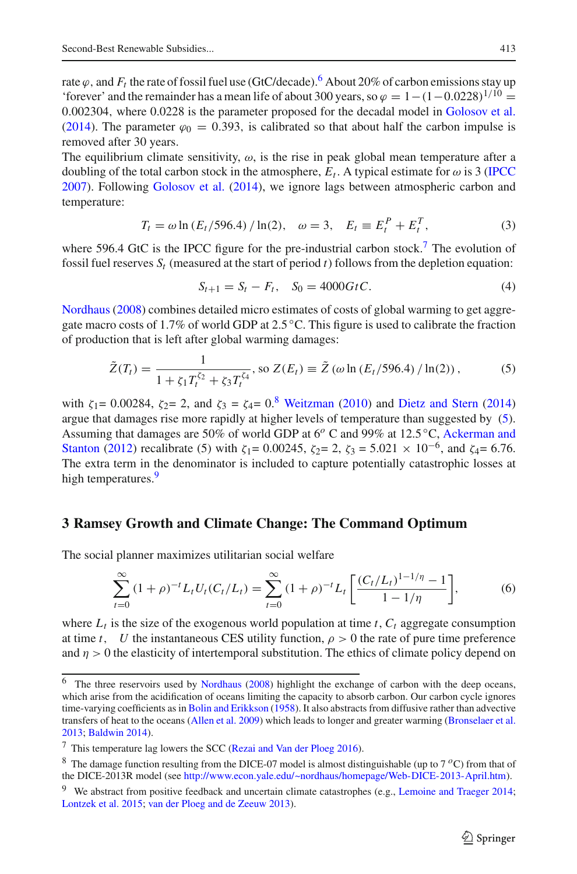rate  $\varphi$ , and  $F_t$  the rate of fossil fuel use (GtC/decade).<sup>[6](#page-4-1)</sup> About 20% of carbon emissions stay up 'forever' and the remainder has a mean life of about 300 years, so  $\varphi = 1 - (1 - 0.0228)^{1/10}$ 0.002304, where 0.0228 is the parameter proposed for the decadal model in [Golosov et al.](#page-24-15) [\(2014](#page-24-15)). The parameter  $\varphi_0 = 0.393$ , is calibrated so that about half the carbon impulse is removed after 30 years.

The equilibrium climate sensitivity,  $\omega$ , is the rise in peak global mean temperature after a doubling of the total carbon stock in the atmosphere,  $E_t$ . A typical estimate for  $\omega$  is 3 [\(IPCC](#page-24-19)) [2007](#page-24-19)). Following [Golosov et al.](#page-24-15) [\(2014\)](#page-24-15), we ignore lags between atmospheric carbon and temperature:

$$
T_t = \omega \ln \left( E_t / 596.4 \right) / \ln(2), \quad \omega = 3, \quad E_t \equiv E_t^P + E_t^T,\tag{3}
$$

<span id="page-4-8"></span>where 596.4 GtC is the IPCC figure for the pre-industrial carbon stock.<sup>7</sup> The evolution of fossil fuel reserves *St* (measured at the start of period *t*) follows from the depletion equation:

$$
S_{t+1} = S_t - F_t, \quad S_0 = 4000 \, \text{G} \, t \, C. \tag{4}
$$

<span id="page-4-6"></span>[Nordhaus](#page-25-0) [\(2008](#page-25-0)) combines detailed micro estimates of costs of global warming to get aggregate macro costs of 1.7% of world GDP at 2.5 °C. This figure is used to calibrate the fraction of production that is left after global warming damages:

$$
\tilde{Z}(T_t) = \frac{1}{1 + \zeta_1 T_t^{\zeta_2} + \zeta_3 T_t^{\zeta_4}}, \text{ so } Z(E_t) \equiv \tilde{Z} \left( \omega \ln \left( E_t / 596.4 \right) / \ln(2) \right), \tag{5}
$$

<span id="page-4-4"></span>with  $\zeta_1 = 0.00284$  $\zeta_1 = 0.00284$  $\zeta_1 = 0.00284$ ,  $\zeta_2 = 2$ , and  $\zeta_3 = \zeta_4 = 0.8$  [Weitzman](#page-25-12) [\(2010](#page-25-12)) and [Dietz and Stern](#page-24-16) [\(2014\)](#page-24-16) argue that damages rise more rapidly at higher levels of temperature than suggested by [\(5\)](#page-4-4). Assum[ing](#page-23-0) [that](#page-23-0) [damages](#page-23-0) [are](#page-23-0) [50%](#page-23-0) [of](#page-23-0) [world](#page-23-0) [GDP](#page-23-0) [at](#page-23-0) [6](#page-23-0)*<sup>o</sup>* C and 99% at 12.5 ◦C, Ackerman and Stanton [\(2012](#page-23-0)) recalibrate (5) with  $\zeta_1 = 0.00245$ ,  $\zeta_2 = 2$ ,  $\zeta_3 = 5.021 \times 10^{-6}$ , and  $\zeta_4 = 6.76$ . The extra term in the denominator is included to capture potentially catastrophic losses at high temperatures.<sup>9</sup>

## <span id="page-4-0"></span>**3 Ramsey Growth and Climate Change: The Command Optimum**

<span id="page-4-7"></span>The social planner maximizes utilitarian social welfare

$$
\sum_{t=0}^{\infty} (1+\rho)^{-t} L_t U_t (C_t/L_t) = \sum_{t=0}^{\infty} (1+\rho)^{-t} L_t \left[ \frac{(C_t/L_t)^{1-1/\eta} - 1}{1 - 1/\eta} \right],\tag{6}
$$

where  $L_t$  is the size of the exogenous world population at time  $t$ ,  $C_t$  aggregate consumption at time *t*, *U* the instantaneous CES utility function,  $\rho > 0$  the rate of pure time preference and  $\eta > 0$  the elasticity of intertemporal substitution. The ethics of climate policy depend on

<span id="page-4-1"></span><sup>6</sup> The three reservoirs used by [Nordhaus](#page-25-0) [\(2008\)](#page-25-0) highlight the exchange of carbon with the deep oceans, which arise from the acidification of oceans limiting the capacity to absorb carbon. Our carbon cycle ignores time-varying coefficients as in [Bolin and Erikkson](#page-24-20) [\(1958\)](#page-24-20). It also abstracts from diffusive rather than advective transfers of heat to the oceans [\(Allen et al. 2009\)](#page-24-21) which leads to longer and greater warming [\(Bronselaer et al.](#page-24-22) [2013](#page-24-22); [Baldwin 2014](#page-24-23)).

<sup>7</sup> This temperature lag lowers the SCC [\(Rezai and Van der Ploeg 2016\)](#page-25-13).

<span id="page-4-2"></span><sup>8</sup> The damage function resulting from the DICE-07 model is almost distinguishable (up to 7 *<sup>o</sup>*C) from that of the DICE-2013R model (see [http://www.econ.yale.edu/~nordhaus/homepage/Web-DICE-2013-April.htm\)](http://www.econ.yale.edu/~nordhaus/homepage/Web-DICE-2013-April.htm).

<span id="page-4-5"></span><span id="page-4-3"></span><sup>&</sup>lt;sup>9</sup> We abstract from positive feedback and uncertain climate catastrophes (e.g., [Lemoine and Traeger 2014;](#page-24-24) [Lontzek et al. 2015;](#page-24-25) [van der Ploeg and de Zeeuw 2013](#page-25-14)).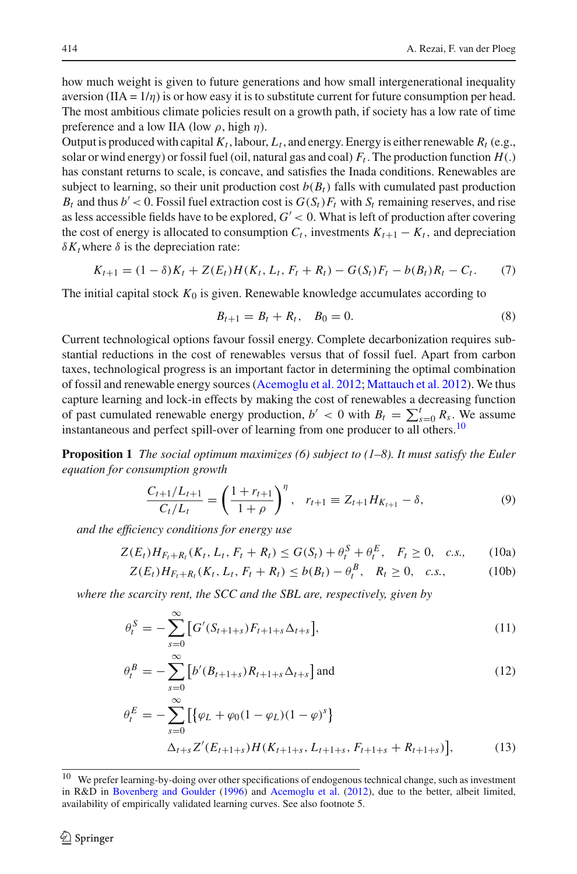how much weight is given to future generations and how small intergenerational inequality aversion (IIA =  $1/\eta$ ) is or how easy it is to substitute current for future consumption per head. The most ambitious climate policies result on a growth path, if society has a low rate of time preference and a low IIA (low  $\rho$ , high  $\eta$ ).

Output is produced with capital  $K_t$ , labour,  $L_t$ , and energy. Energy is either renewable  $R_t$  (e.g., solar or wind energy) or fossil fuel (oil, natural gas and coal)  $F_t$ . The production function  $H(.)$ has constant returns to scale, is concave, and satisfies the Inada conditions. Renewables are subject to learning, so their unit production cost  $b(B_t)$  falls with cumulated past production  $B_t$  and thus  $b' < 0$ . Fossil fuel extraction cost is  $G(S_t)F_t$  with  $S_t$  remaining reserves, and rise as less accessible fields have to be explored,  $G' < 0$ . What is left of production after covering the cost of energy is allocated to consumption  $C_t$ , investments  $K_{t+1} - K_t$ , and depreciation  $\delta K_t$  where  $\delta$  is the depreciation rate:

$$
K_{t+1} = (1 - \delta)K_t + Z(E_t)H(K_t, L_t, F_t + R_t) - G(S_t)F_t - b(B_t)R_t - C_t.
$$
 (7)

The initial capital stock  $K_0$  is given. Renewable knowledge accumulates according to

$$
B_{t+1} = B_t + R_t, \quad B_0 = 0.
$$
 (8)

Current technological options favour fossil energy. Complete decarbonization requires substantial reductions in the cost of renewables versus that of fossil fuel. Apart from carbon taxes, technological progress is an important factor in determining the optimal combination of fossil and renewable energy sources [\(Acemoglu et al. 2012](#page-23-1); [Mattauch et al. 2012\)](#page-25-15). We thus capture learning and lock-in effects by making the cost of renewables a decreasing function of past cumulated renewable energy production,  $b' < 0$  with  $B_t = \sum_{s=0}^{t} R_s$ . We assume instantaneous and perfect spill-over of learning from one producer to all others.<sup>10</sup>

<span id="page-5-4"></span>**Proposition 1** *The social optimum maximizes (6) subject to (1–8). It must satisfy the Euler equation for consumption growth*

<span id="page-5-2"></span>
$$
\frac{C_{t+1}/L_{t+1}}{C_t/L_t} = \left(\frac{1+r_{t+1}}{1+\rho}\right)^{\eta}, \quad r_{t+1} \equiv Z_{t+1}H_{K_{t+1}} - \delta,
$$
\n(9)

<span id="page-5-1"></span>*and the efficiency conditions for energy use*

$$
Z(E_t)H_{F_t+R_t}(K_t, L_t, F_t + R_t) \le G(S_t) + \theta_t^S + \theta_t^E, \quad F_t \ge 0, \quad c.s., \tag{10a}
$$

$$
Z(E_t)H_{F_t+R_t}(K_t, L_t, F_t + R_t) \leq b(B_t) - \theta_t^B, \quad R_t \geq 0, \quad c.s.,
$$
 (10b)

<span id="page-5-3"></span>*where the scarcity rent, the SCC and the SBL are, respectively, given by*

$$
\theta_t^S = -\sum_{s=0}^{\infty} \left[ G'(S_{t+1+s}) F_{t+1+s} \Delta_{t+s} \right],\tag{11}
$$

$$
\theta_t^B = -\sum_{s=0}^{\infty} \left[ b'(B_{t+1+s}) R_{t+1+s} \Delta_{t+s} \right] \text{and} \tag{12}
$$

$$
\theta_t^E = -\sum_{s=0}^{\infty} \left[ \{ \varphi_L + \varphi_0 (1 - \varphi_L)(1 - \varphi)^s \} \right]
$$
  

$$
\Delta_{t+s} Z'(E_{t+1+s}) H(K_{t+1+s}, L_{t+1+s}, F_{t+1+s} + R_{t+1+s}) \right],
$$
 (13)

<span id="page-5-0"></span><sup>10</sup> We prefer learning-by-doing over other specifications of endogenous technical change, such as investment in R&D in [Bovenberg and Goulder](#page-24-26) [\(1996\)](#page-24-26) and [Acemoglu et al.](#page-23-1) [\(2012\)](#page-23-1), due to the better, albeit limited, availability of empirically validated learning curves. See also footnote 5.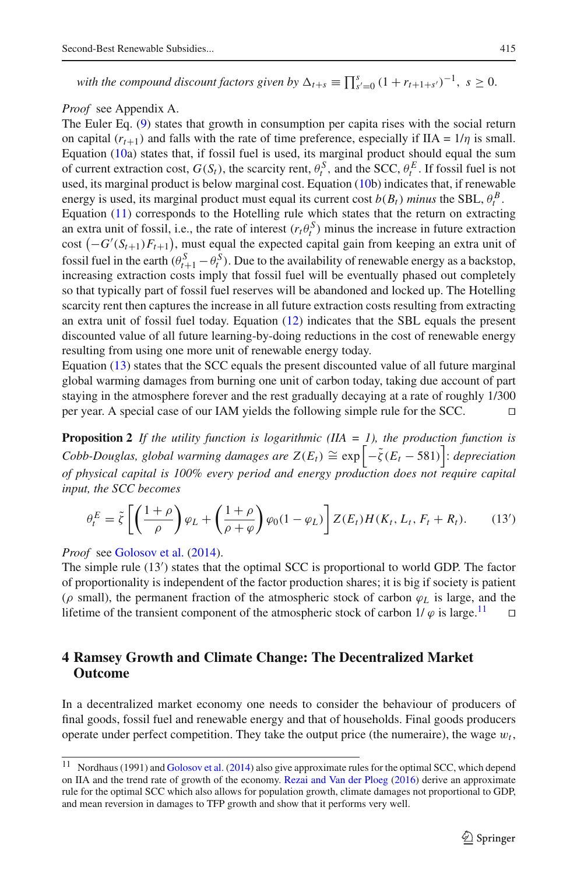*with the compound discount factors given by*  $\Delta_{t+s} \equiv \prod_{s'=0}^{s} (1 + r_{t+1+s'})^{-1}$ ,  $s \ge 0$ .

### *Proof* see Appendix A.

The Euler Eq. [\(9\)](#page-5-1) states that growth in consumption per capita rises with the social return on capital  $(r_{t+1})$  and falls with the rate of time preference, especially if IIA =  $1/\eta$  is small. Equation [\(10a](#page-5-2)) states that, if fossil fuel is used, its marginal product should equal the sum of current extraction cost,  $G(S_t)$ , the scarcity rent,  $\theta_t^S$ , and the SCC,  $\theta_t^E$ . If fossil fuel is not used, its marginal product is below marginal cost. Equation [\(10b](#page-5-2)) indicates that, if renewable energy is used, its marginal product must equal its current cost  $b(B_t)$  *minus* the SBL,  $\theta_t^B$ . Equation [\(11\)](#page-5-3) corresponds to the Hotelling rule which states that the return on extracting

an extra unit of fossil, i.e., the rate of interest  $(r_t \theta_t^S)$  minus the increase in future extraction cost  $(-G'(S_{t+1})F_{t+1})$ , must equal the expected capital gain from keeping an extra unit of fossil fuel in the earth  $(\theta_{t+1}^S - \theta_t^S)$ . Due to the availability of renewable energy as a backstop, increasing extraction costs imply that fossil fuel will be eventually phased out completely so that typically part of fossil fuel reserves will be abandoned and locked up. The Hotelling scarcity rent then captures the increase in all future extraction costs resulting from extracting an extra unit of fossil fuel today. Equation [\(12\)](#page-5-3) indicates that the SBL equals the present discounted value of all future learning-by-doing reductions in the cost of renewable energy resulting from using one more unit of renewable energy today.

Equation [\(13\)](#page-5-3) states that the SCC equals the present discounted value of all future marginal global warming damages from burning one unit of carbon today, taking due account of part staying in the atmosphere forever and the rest gradually decaying at a rate of roughly 1/300 per year. A special case of our IAM yields the following simple rule for the SCC. 

<span id="page-6-2"></span>**Proposition 2** *If the utility function is logarithmic (IIA = 1), the production function is Cobb-Douglas, global warming damages are*  $Z(E_t) \cong \exp\left[-\tilde{\zeta}(E_t - 581)\right]$ : *depreciation of physical capital is 100% every period and energy production does not require capital input, the SCC becomes*

$$
\theta_t^E = \tilde{\zeta} \left[ \left( \frac{1+\rho}{\rho} \right) \varphi_L + \left( \frac{1+\rho}{\rho+\varphi} \right) \varphi_0 (1-\varphi_L) \right] Z(E_t) H(K_t, L_t, F_t + R_t). \tag{13'}
$$

*Proof* see [Golosov et al.](#page-24-15) [\(2014\)](#page-24-15).

The simple rule (13 ) states that the optimal SCC is proportional to world GDP. The factor of proportionality is independent of the factor production shares; it is big if society is patient ( $\rho$  small), the permanent fraction of the atmospheric stock of carbon  $\varphi_L$  is large, and the lifetime of the transient component of the atmospheric stock of carbon  $1/\varphi$  is large.<sup>[11](#page-6-1)</sup>  $\Box$ 

## <span id="page-6-0"></span>**4 Ramsey Growth and Climate Change: The Decentralized Market Outcome**

In a decentralized market economy one needs to consider the behaviour of producers of final goods, fossil fuel and renewable energy and that of households. Final goods producers operate under perfect competition. They take the output price (the numeraire), the wage  $w_t$ ,

<span id="page-6-1"></span><sup>&</sup>lt;sup>11</sup> Nordhaus (1991) and [Golosov et al.](#page-24-15) [\(2014\)](#page-24-15) also give approximate rules for the optimal SCC, which depend on IIA and the trend rate of growth of the economy. [Rezai and Van der Ploeg](#page-25-13) [\(2016\)](#page-25-13) derive an approximate rule for the optimal SCC which also allows for population growth, climate damages not proportional to GDP, and mean reversion in damages to TFP growth and show that it performs very well.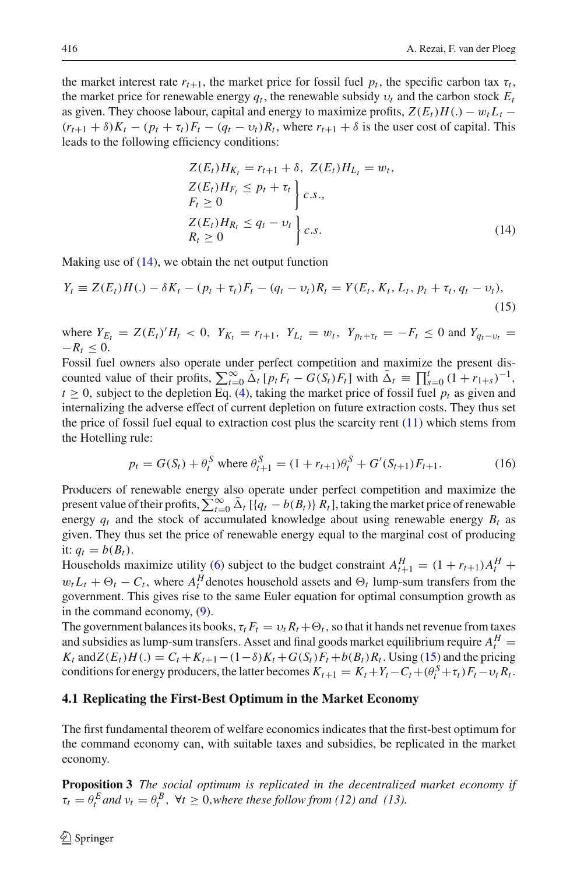<span id="page-7-0"></span>the market interest rate  $r_{t+1}$ , the market price for fossil fuel  $p_t$ , the specific carbon tax  $\tau_t$ , the market price for renewable energy  $q_t$ , the renewable subsidy  $v_t$  and the carbon stock  $E_t$ as given. They choose labour, capital and energy to maximize profits,  $Z(E_t)H(.) - w_t L_t$  $(r_{t+1} + \delta)K_t - (p_t + \tau_t)F_t - (q_t - v_t)R_t$ , where  $r_{t+1} + \delta$  is the user cost of capital. This leads to the following efficiency conditions:

$$
Z(E_t)H_{K_t} = r_{t+1} + \delta, \ Z(E_t)H_{L_t} = w_t,
$$
  
\n
$$
Z(E_t)H_{F_t} \le p_t + \tau_t
$$
  
\n
$$
F_t \ge 0
$$
  
\n
$$
Z(E_t)H_{R_t} \le q_t - v_t
$$
  
\n
$$
R_t \ge 0
$$
\n(14)

Making use of  $(14)$ , we obtain the net output function

<span id="page-7-1"></span>
$$
Y_t \equiv Z(E_t)H(.) - \delta K_t - (p_t + \tau_t)F_t - (q_t - \nu_t)R_t = Y(E_t, K_t, L_t, p_t + \tau_t, q_t - \nu_t),
$$
\n(15)

where  $Y_{E_t} = Z(E_t)'H_t < 0$ ,  $Y_{K_t} = r_{t+1}$ ,  $Y_{L_t} = w_t$ ,  $Y_{p_t + \tau_t} = -F_t \leq 0$  and  $Y_{q_t - \nu_t} =$  $-R_t \leq 0.$ 

Fossil fuel owners also operate under perfect competition and maximize the present discounted value of their profits,  $\sum_{t=0}^{\infty} \tilde{\Delta}_t [p_t F_t - G(S_t) F_t]$  with  $\tilde{\Delta}_t \equiv \prod_{s=0}^t (1 + r_{1+s})^{-1}$ ,  $t \geq 0$ , subject to the depletion Eq. [\(4\)](#page-4-6), taking the market price of fossil fuel  $p_t$  as given and internalizing the adverse effect of current depletion on future extraction costs. They thus set the price of fossil fuel equal to extraction cost plus the scarcity rent  $(11)$  which stems from the Hotelling rule:

$$
p_t = G(S_t) + \theta_t^S \text{ where } \theta_{t+1}^S = (1 + r_{t+1})\theta_t^S + G'(S_{t+1})F_{t+1}.
$$
 (16)

<span id="page-7-3"></span>Producers of renewable energy also operate under perfect competition and maximize the present value of their profits,  $\sum_{t=0}^{\infty} \Delta_t [\{q_t - b(B_t)\} R_t]$ , taking the market price of renewable energy  $q_t$  and the stock of accumulated knowledge about using renewable energy  $B_t$  as given. They thus set the price of renewable energy equal to the marginal cost of producing it:  $q_t = b(B_t)$ .

Households maximize utility [\(6\)](#page-4-7) subject to the budget constraint  $A_{t+1}^H = (1 + r_{t+1})A_t^H +$  $w_t L_t + \Theta_t - C_t$ , where  $A_t^H$  denotes household assets and  $\Theta_t$  lump-sum transfers from the government. This gives rise to the same Euler equation for optimal consumption growth as in the command economy, [\(9\)](#page-5-1).

The government balances its books,  $\tau_t F_t = v_t R_t + \Theta_t$ , so that it hands net revenue from taxes and subsidies as lump-sum transfers. Asset and final goods market equilibrium require  $A_t^H$  =  $K_t$  and  $Z(E_t)H(.) = C_t + K_{t+1} - (1-\delta)K_t + G(S_t)F_t + b(B_t)R_t$ . Using [\(15\)](#page-7-1) and the pricing conditions for energy producers, the latter becomes  $K_{t+1} = K_t + Y_t - C_t + (\theta_t^S + \tau_t)F_t - \nu_t R_t$ .

#### <span id="page-7-2"></span>**4.1 Replicating the First-Best Optimum in the Market Economy**

The first fundamental theorem of welfare economics indicates that the first-best optimum for the command economy can, with suitable taxes and subsidies, be replicated in the market economy.

**Proposition 3** *The social optimum is replicated in the decentralized market economy if*  $\tau_t = \theta_t^E$  *and*  $\nu_t = \theta_t^B$ ,  $\forall t \ge 0$ , *where these follow from* (12) *and* (13).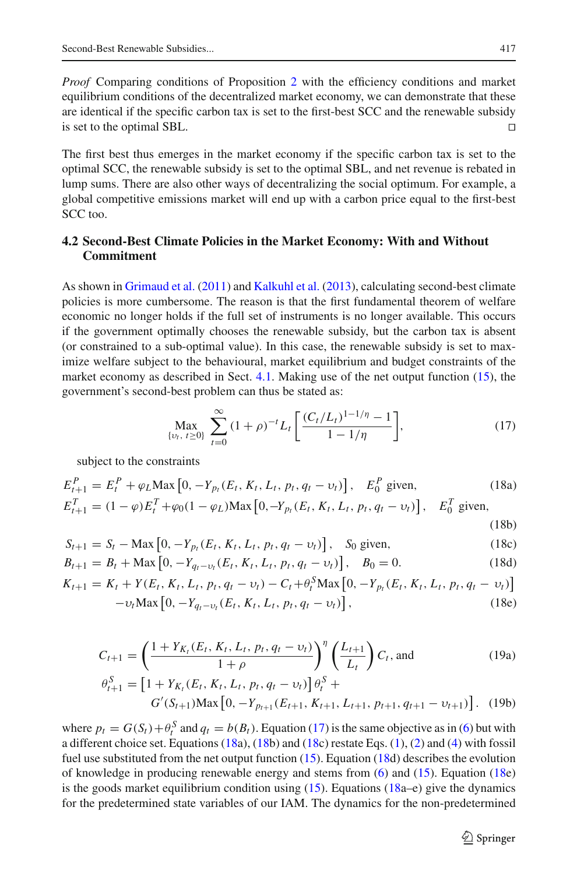*Proof* Comparing conditions of Proposition [2](#page-6-2) with the efficiency conditions and market equilibrium conditions of the decentralized market economy, we can demonstrate that these are identical if the specific carbon tax is set to the first-best SCC and the renewable subsidy is set to the optimal SBL. 

The first best thus emerges in the market economy if the specific carbon tax is set to the optimal SCC, the renewable subsidy is set to the optimal SBL, and net revenue is rebated in lump sums. There are also other ways of decentralizing the social optimum. For example, a global competitive emissions market will end up with a carbon price equal to the first-best SCC too.

## **4.2 Second-Best Climate Policies in the Market Economy: With and Without Commitment**

As shown in [Grimaud et al.](#page-24-2) [\(2011\)](#page-24-2) and [Kalkuhl et al.](#page-24-3) [\(2013\)](#page-24-3), calculating second-best climate policies is more cumbersome. The reason is that the first fundamental theorem of welfare economic no longer holds if the full set of instruments is no longer available. This occurs if the government optimally chooses the renewable subsidy, but the carbon tax is absent (or constrained to a sub-optimal value). In this case, the renewable subsidy is set to maximize welfare subject to the behavioural, market equilibrium and budget constraints of the market economy as described in Sect. [4.1.](#page-7-2) Making use of the net output function [\(15\)](#page-7-1), the government's second-best problem can thus be stated as:

$$
\max_{\{\upsilon_t, t \ge 0\}} \sum_{t=0}^{\infty} (1+\rho)^{-t} L_t \left[ \frac{(C_t/L_t)^{1-1/\eta} - 1}{1 - 1/\eta} \right],\tag{17}
$$

<span id="page-8-1"></span><span id="page-8-0"></span>subject to the constraints

$$
E_{t+1}^{P} = E_{t}^{P} + \varphi_{L} \text{Max} \left[ 0, -Y_{p_{t}}(E_{t}, K_{t}, L_{t}, p_{t}, q_{t} - \upsilon_{t}) \right], \quad E_{0}^{P} \text{ given}, \tag{18a}
$$

$$
E_{t+1}^T = (1 - \varphi)E_t^T + \varphi_0 (1 - \varphi_L) \text{Max} [0, -Y_{p_t}(E_t, K_t, L_t, p_t, q_t - v_t)], \quad E_0^T \text{ given},
$$

(18b)

$$
S_{t+1} = S_t - \text{Max}\left[0, -Y_{p_t}(E_t, K_t, L_t, p_t, q_t - v_t)\right], \quad S_0 \text{ given}, \tag{18c}
$$

$$
B_{t+1} = B_t + \text{Max} \left[ 0, -Y_{q_t - \nu_t} (E_t, K_t, L_t, p_t, q_t - \nu_t) \right], \quad B_0 = 0. \tag{18d}
$$

<span id="page-8-2"></span>
$$
K_{t+1} = K_t + Y(E_t, K_t, L_t, p_t, q_t - v_t) - C_t + \theta_t^S \text{Max} [0, -Y_{p_t}(E_t, K_t, L_t, p_t, q_t - v_t)] - v_t \text{Max} [0, -Y_{q_t - v_t}(E_t, K_t, L_t, p_t, q_t - v_t)],
$$
\n(18e)

$$
C_{t+1} = \left(\frac{1 + Y_{K_t}(E_t, K_t, L_t, p_t, q_t - v_t)}{1 + \rho}\right)^{\eta} \left(\frac{L_{t+1}}{L_t}\right) C_t, \text{ and } (19a)
$$
  
\n
$$
\theta_{t+1}^S = \left[1 + Y_{K_t}(E_t, K_t, L_t, p_t, q_t - v_t)\right] \theta_t^S +
$$
  
\n
$$
G'(S_{t+1}) \text{Max}\left[0, -Y_{p_{t+1}}(E_{t+1}, K_{t+1}, L_{t+1}, p_{t+1}, q_{t+1} - v_{t+1})\right].
$$
 (19b)

where  $p_t = G(S_t) + \theta_t^S$  and  $q_t = b(B_t)$ . Equation [\(17\)](#page-8-0) is the same objective as in [\(6\)](#page-4-7) but with a different choice set. Equations [\(18a](#page-8-1)), [\(18b](#page-8-1)) and [\(18c](#page-8-1)) restate Eqs. [\(1\)](#page-3-1), [\(2\)](#page-3-1) and [\(4\)](#page-4-6) with fossil fuel use substituted from the net output function [\(15\)](#page-7-1). Equation [\(18d](#page-8-1)) describes the evolution of knowledge in producing renewable energy and stems from [\(6\)](#page-4-7) and [\(15\)](#page-7-1). Equation [\(18e](#page-8-1)) is the goods market equilibrium condition using  $(15)$ . Equations  $(18a-e)$  $(18a-e)$  give the dynamics for the predetermined state variables of our IAM. The dynamics for the non-predetermined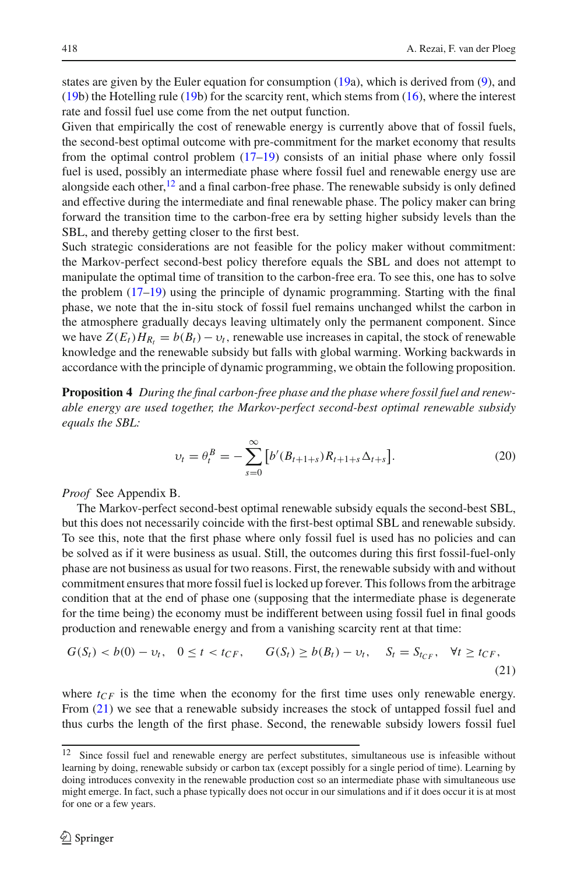states are given by the Euler equation for consumption [\(19a](#page-8-2)), which is derived from [\(9\)](#page-5-1), and [\(19b](#page-8-2)) the Hotelling rule [\(19b](#page-8-2)) for the scarcity rent, which stems from [\(16\)](#page-7-3), where the interest rate and fossil fuel use come from the net output function.

Given that empirically the cost of renewable energy is currently above that of fossil fuels, the second-best optimal outcome with pre-commitment for the market economy that results from the optimal control problem  $(17–19)$  $(17–19)$  consists of an initial phase where only fossil fuel is used, possibly an intermediate phase where fossil fuel and renewable energy use are alongside each other, $\frac{12}{2}$  and a final carbon-free phase. The renewable subsidy is only defined and effective during the intermediate and final renewable phase. The policy maker can bring forward the transition time to the carbon-free era by setting higher subsidy levels than the SBL, and thereby getting closer to the first best.

Such strategic considerations are not feasible for the policy maker without commitment: the Markov-perfect second-best policy therefore equals the SBL and does not attempt to manipulate the optimal time of transition to the carbon-free era. To see this, one has to solve the problem  $(17-19)$  $(17-19)$  using the principle of dynamic programming. Starting with the final phase, we note that the in-situ stock of fossil fuel remains unchanged whilst the carbon in the atmosphere gradually decays leaving ultimately only the permanent component. Since we have  $Z(E_t)H_{R_t} = b(B_t) - v_t$ , renewable use increases in capital, the stock of renewable knowledge and the renewable subsidy but falls with global warming. Working backwards in accordance with the principle of dynamic programming, we obtain the following proposition.

<span id="page-9-3"></span>**Proposition 4** *During the final carbon-free phase and the phase where fossil fuel and renewable energy are used together, the Markov-perfect second-best optimal renewable subsidy equals the SBL:*

$$
\upsilon_t = \theta_t^B = -\sum_{s=0}^{\infty} \left[ b'(B_{t+1+s}) R_{t+1+s} \Delta_{t+s} \right]. \tag{20}
$$

<span id="page-9-2"></span>*Proof* See Appendix B.

The Markov-perfect second-best optimal renewable subsidy equals the second-best SBL, but this does not necessarily coincide with the first-best optimal SBL and renewable subsidy. To see this, note that the first phase where only fossil fuel is used has no policies and can be solved as if it were business as usual. Still, the outcomes during this first fossil-fuel-only phase are not business as usual for two reasons. First, the renewable subsidy with and without commitment ensures that more fossil fuel is locked up forever. This follows from the arbitrage condition that at the end of phase one (supposing that the intermediate phase is degenerate for the time being) the economy must be indifferent between using fossil fuel in final goods production and renewable energy and from a vanishing scarcity rent at that time:

<span id="page-9-1"></span>
$$
G(S_t) < b(0) - \nu_t, \quad 0 \le t < t_{CF}, \qquad G(S_t) \ge b(B_t) - \nu_t, \quad S_t = S_{t_{CF}}, \quad \forall t \ge t_{CF}, \tag{21}
$$

where  $t_{CF}$  is the time when the economy for the first time uses only renewable energy. From [\(21\)](#page-9-1) we see that a renewable subsidy increases the stock of untapped fossil fuel and thus curbs the length of the first phase. Second, the renewable subsidy lowers fossil fuel

<span id="page-9-0"></span><sup>&</sup>lt;sup>12</sup> Since fossil fuel and renewable energy are perfect substitutes, simultaneous use is infeasible without learning by doing, renewable subsidy or carbon tax (except possibly for a single period of time). Learning by doing introduces convexity in the renewable production cost so an intermediate phase with simultaneous use might emerge. In fact, such a phase typically does not occur in our simulations and if it does occur it is at most for one or a few years.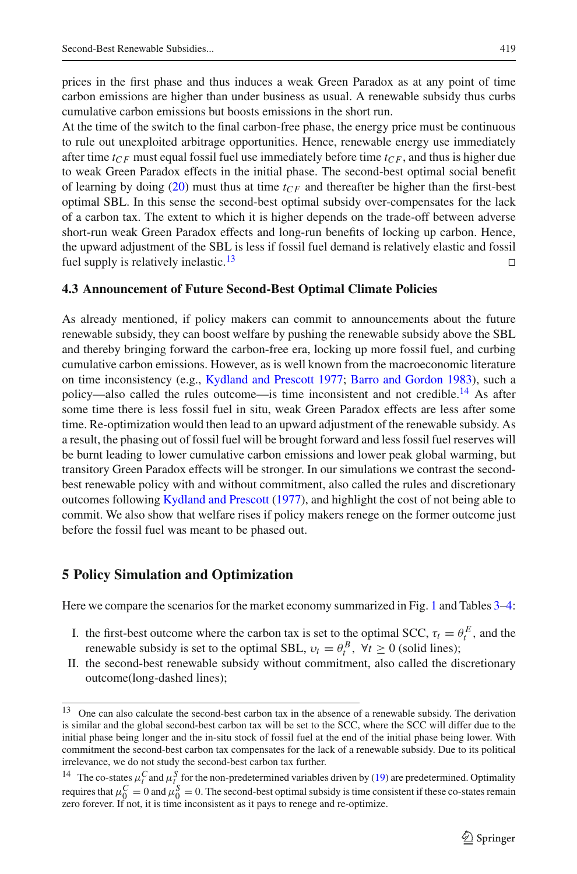prices in the first phase and thus induces a weak Green Paradox as at any point of time carbon emissions are higher than under business as usual. A renewable subsidy thus curbs cumulative carbon emissions but boosts emissions in the short run.

At the time of the switch to the final carbon-free phase, the energy price must be continuous to rule out unexploited arbitrage opportunities. Hence, renewable energy use immediately after time  $t_{CF}$  must equal fossil fuel use immediately before time  $t_{CF}$ , and thus is higher due to weak Green Paradox effects in the initial phase. The second-best optimal social benefit of learning by doing  $(20)$  must thus at time  $t_{CF}$  and thereafter be higher than the first-best optimal SBL. In this sense the second-best optimal subsidy over-compensates for the lack of a carbon tax. The extent to which it is higher depends on the trade-off between adverse short-run weak Green Paradox effects and long-run benefits of locking up carbon. Hence, the upward adjustment of the SBL is less if fossil fuel demand is relatively elastic and fossil fuel supply is relatively inelastic.<sup>13</sup>

#### <span id="page-10-3"></span>**4.3 Announcement of Future Second-Best Optimal Climate Policies**

As already mentioned, if policy makers can commit to announcements about the future renewable subsidy, they can boost welfare by pushing the renewable subsidy above the SBL and thereby bringing forward the carbon-free era, locking up more fossil fuel, and curbing cumulative carbon emissions. However, as is well known from the macroeconomic literature on time inconsistency (e.g., [Kydland and Prescott 1977](#page-24-27); [Barro and Gordon 1983\)](#page-24-28), such a policy—also called the rules outcome—is time inconsistent and not credible.<sup>14</sup> As after some time there is less fossil fuel in situ, weak Green Paradox effects are less after some time. Re-optimization would then lead to an upward adjustment of the renewable subsidy. As a result, the phasing out of fossil fuel will be brought forward and less fossil fuel reserves will be burnt leading to lower cumulative carbon emissions and lower peak global warming, but transitory Green Paradox effects will be stronger. In our simulations we contrast the secondbest renewable policy with and without commitment, also called the rules and discretionary outcomes following [Kydland and Prescott](#page-24-27) [\(1977](#page-24-27)), and highlight the cost of not being able to commit. We also show that welfare rises if policy makers renege on the former outcome just before the fossil fuel was meant to be phased out.

### <span id="page-10-0"></span>**5 Policy Simulation and Optimization**

Here we compare the scenarios for the market economy summarized in Fig. [1](#page-12-0) and Tables [3–](#page-13-0)[4:](#page-13-1)

- I. the first-best outcome where the carbon tax is set to the optimal SCC,  $\tau_t = \theta_t^E$ , and the renewable subsidy is set to the optimal SBL,  $v_t = \theta_t^B$ ,  $\forall t \ge 0$  (solid lines);
- II. the second-best renewable subsidy without commitment, also called the discretionary outcome(long-dashed lines);

<span id="page-10-1"></span><sup>13</sup> One can also calculate the second-best carbon tax in the absence of a renewable subsidy. The derivation is similar and the global second-best carbon tax will be set to the SCC, where the SCC will differ due to the initial phase being longer and the in-situ stock of fossil fuel at the end of the initial phase being lower. With commitment the second-best carbon tax compensates for the lack of a renewable subsidy. Due to its political irrelevance, we do not study the second-best carbon tax further.

<span id="page-10-2"></span><sup>&</sup>lt;sup>14</sup> The co-states  $\mu_t^C$  and  $\mu_t^S$  for the non-predetermined variables driven by [\(19\)](#page-8-2) are predetermined. Optimality requires that  $\mu_0^C = 0$  and  $\mu_0^S = 0$ . The second-best optimal subsidy is time consistent if these co-states remain zero forever. If not, it is time inconsistent as it pays to renege and re-optimize.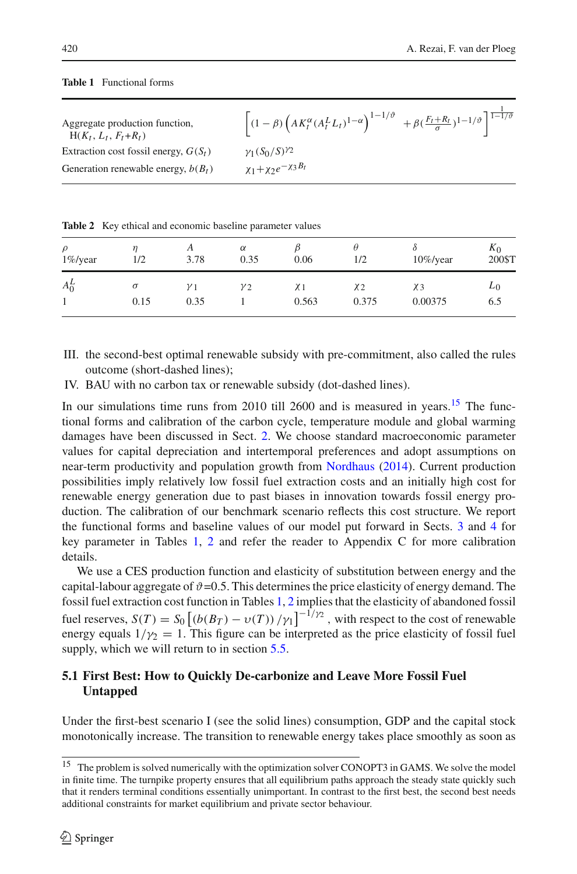#### <span id="page-11-1"></span>**Table 1** Functional forms

| Aggregate production function,<br>$H(K_t, L_t, F_t + R_t)$ | $\left[ (1-\beta) \left( A K_t^\alpha (A_t^L L_t)^{1-\alpha}\right)^{1-1/\vartheta} \right. \nonumber \\ \left. + \beta (\tfrac{F_t+R_t}{\sigma})^{1-1/\vartheta} \right]^\frac{1}{1-1/\vartheta}$ |
|------------------------------------------------------------|----------------------------------------------------------------------------------------------------------------------------------------------------------------------------------------------------|
| Extraction cost fossil energy, $G(S_t)$                    | $\gamma_1(S_0/S)^{\gamma_2}$                                                                                                                                                                       |
| Generation renewable energy, $b(B_t)$                      | $\chi_1 + \chi_2 e^{-\chi_3 B_t}$                                                                                                                                                                  |
|                                                            |                                                                                                                                                                                                    |

<span id="page-11-2"></span>

| $\rho$<br>1%/year | 1/2              | 3.78               | $\alpha$<br>0.35 | 0.06                    | 1/2         | 10%/year         | $K_0$<br>200\$T |
|-------------------|------------------|--------------------|------------------|-------------------------|-------------|------------------|-----------------|
| $A_0^L$           | $\sigma$<br>0.15 | $\gamma_1$<br>0.35 | γ2               | X <sub>1</sub><br>0.563 | X2<br>0.375 | $X_3$<br>0.00375 | $L_{0}$<br>6.5  |

III. the second-best optimal renewable subsidy with pre-commitment, also called the rules outcome (short-dashed lines);

IV. BAU with no carbon tax or renewable subsidy (dot-dashed lines).

In our simulations time runs from 2010 till 2600 and is measured in years.<sup>15</sup> The functional forms and calibration of the carbon cycle, temperature module and global warming damages have been discussed in Sect. [2.](#page-3-0) We choose standard macroeconomic parameter values for capital depreciation and intertemporal preferences and adopt assumptions on near-term productivity and population growth from [Nordhaus](#page-25-11) [\(2014\)](#page-25-11). Current production possibilities imply relatively low fossil fuel extraction costs and an initially high cost for renewable energy generation due to past biases in innovation towards fossil energy production. The calibration of our benchmark scenario reflects this cost structure. We report the functional forms and baseline values of our model put forward in Sects. [3](#page-4-0) and [4](#page-6-0) for key parameter in Tables [1,](#page-11-1) [2](#page-11-2) and refer the reader to Appendix C for more calibration details.

We use a CES production function and elasticity of substitution between energy and the capital-labour aggregate of  $\vartheta$ =0.5. This determines the price elasticity of energy demand. The fossil fuel extraction cost function in Tables [1,](#page-11-1) [2](#page-11-2) implies that the elasticity of abandoned fossil fuel reserves,  $S(T) = S_0 \left[ \left( \frac{b(B_T)}{T} - \frac{v(T)}{T} \right) / \gamma_1 \right]^{-1/\gamma_2}$ , with respect to the cost of renewable energy equals  $1/\gamma_2 = 1$ . This figure can be interpreted as the price elasticity of fossil fuel supply, which we will return to in section [5.5.](#page-16-0)

## **5.1 First Best: How to Quickly De-carbonize and Leave More Fossil Fuel Untapped**

Under the first-best scenario I (see the solid lines) consumption, GDP and the capital stock monotonically increase. The transition to renewable energy takes place smoothly as soon as

<span id="page-11-0"></span><sup>&</sup>lt;sup>15</sup> The problem is solved numerically with the optimization solver CONOPT3 in GAMS. We solve the model in finite time. The turnpike property ensures that all equilibrium paths approach the steady state quickly such that it renders terminal conditions essentially unimportant. In contrast to the first best, the second best needs additional constraints for market equilibrium and private sector behaviour.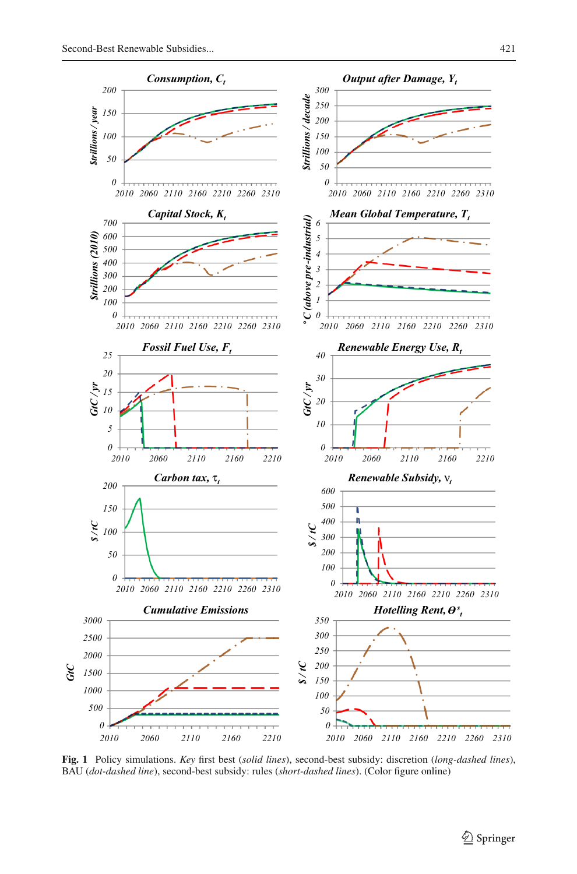

<span id="page-12-0"></span>**Fig. 1** Policy simulations. *Key* first best (*solid lines*), second-best subsidy: discretion (*long-dashed lines*), BAU (*dot-dashed line*), second-best subsidy: rules (*short-dashed lines*). (Color figure online)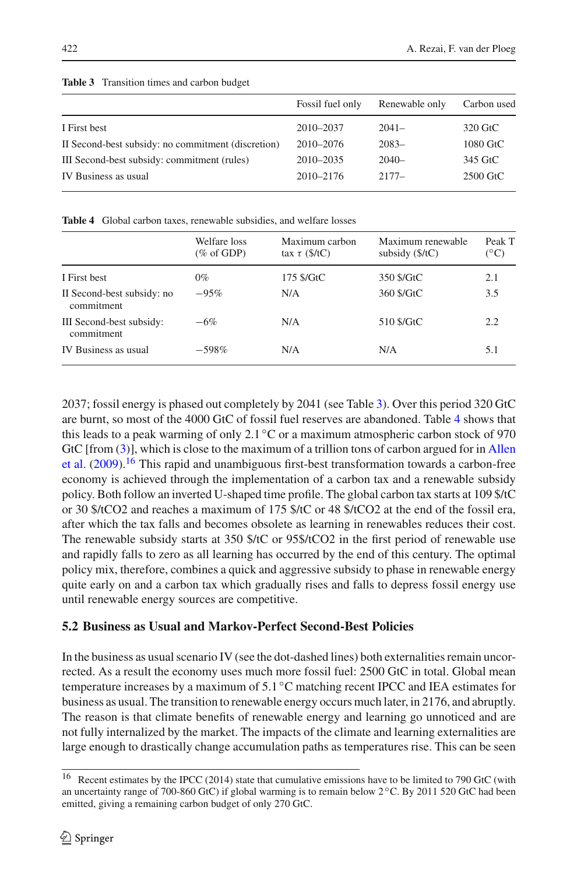<span id="page-13-0"></span>

|                                                    | Fossil fuel only | Renewable only | Carbon used |
|----------------------------------------------------|------------------|----------------|-------------|
| I First best                                       | 2010-2037        | $2041-$        | 320 GtC     |
| II Second-best subsidy: no commitment (discretion) | 2010-2076        | $2083 -$       | 1080 GtC    |
| III Second-best subsidy: commitment (rules)        | $2010 - 2035$    | $2040-$        | 345 GtC     |
| IV Business as usual                               | 2010-2176        | $2177-$        | 2500 GtC    |

#### **Table 3** Transition times and carbon budget

**Table 4** Global carbon taxes, renewable subsidies, and welfare losses

<span id="page-13-1"></span>

|                                          | Welfare loss<br>$(\% \text{ of GDP})$ | Maximum carbon<br>tax $\tau$ (\$/tC) | Maximum renewable<br>subsidy $(\frac{5}{IC})$ | Peak T<br>$(^\circ C)$ |
|------------------------------------------|---------------------------------------|--------------------------------------|-----------------------------------------------|------------------------|
| I First best                             | $0\%$                                 | 175 \$/GtC                           | 350 \$/GtC                                    | 2.1                    |
| II Second-best subsidy: no<br>commitment | $-95%$                                | N/A                                  | 360 \$/GtC                                    | 3.5                    |
| III Second-best subsidy:<br>commitment   | $-6\%$                                | N/A                                  | 510 \$/GtC                                    | 2.2                    |
| IV Business as usual                     | $-598\%$                              | N/A                                  | N/A                                           | 5.1                    |

2037; fossil energy is phased out completely by 2041 (see Table [3\)](#page-13-0). Over this period 320 GtC are burnt, so most of the 4000 GtC of fossil fuel reserves are abandoned. Table [4](#page-13-1) shows that this leads to a peak warming of only 2.1  $\degree$ C or a maximum atmospheric carbon stock of 970 GtC [\[from](#page-24-21) [\(3\)](#page-4-8)[\],](#page-24-21) [which](#page-24-21) [is](#page-24-21) [close](#page-24-21) [to](#page-24-21) [the](#page-24-21) [maximum](#page-24-21) [of](#page-24-21) [a](#page-24-21) [trillion](#page-24-21) [tons](#page-24-21) of [carbon](#page-24-21) [argued](#page-24-21) [for](#page-24-21) [in](#page-24-21) Allen et al.  $(2009)$  $(2009)$ .<sup>[16](#page-13-2)</sup> This rapid and unambiguous first-best transformation towards a carbon-free economy is achieved through the implementation of a carbon tax and a renewable subsidy policy. Both follow an inverted U-shaped time profile. The global carbon tax starts at 109 \$/tC or 30 \$/tCO2 and reaches a maximum of 175 \$/tC or 48 \$/tCO2 at the end of the fossil era, after which the tax falls and becomes obsolete as learning in renewables reduces their cost. The renewable subsidy starts at 350 \$/tC or 95\$/tCO2 in the first period of renewable use and rapidly falls to zero as all learning has occurred by the end of this century. The optimal policy mix, therefore, combines a quick and aggressive subsidy to phase in renewable energy quite early on and a carbon tax which gradually rises and falls to depress fossil energy use until renewable energy sources are competitive.

## <span id="page-13-3"></span>**5.2 Business as Usual and Markov-Perfect Second-Best Policies**

In the business as usual scenario IV (see the dot-dashed lines) both externalities remain uncorrected. As a result the economy uses much more fossil fuel: 2500 GtC in total. Global mean temperature increases by a maximum of  $5.1 \degree C$  matching recent IPCC and IEA estimates for business as usual. The transition to renewable energy occurs much later, in 2176, and abruptly. The reason is that climate benefits of renewable energy and learning go unnoticed and are not fully internalized by the market. The impacts of the climate and learning externalities are large enough to drastically change accumulation paths as temperatures rise. This can be seen

<span id="page-13-2"></span><sup>16</sup> Recent estimates by the IPCC (2014) state that cumulative emissions have to be limited to 790 GtC (with an uncertainty range of 700-860 GtC) if global warming is to remain below 2 ◦C. By 2011 520 GtC had been emitted, giving a remaining carbon budget of only 270 GtC.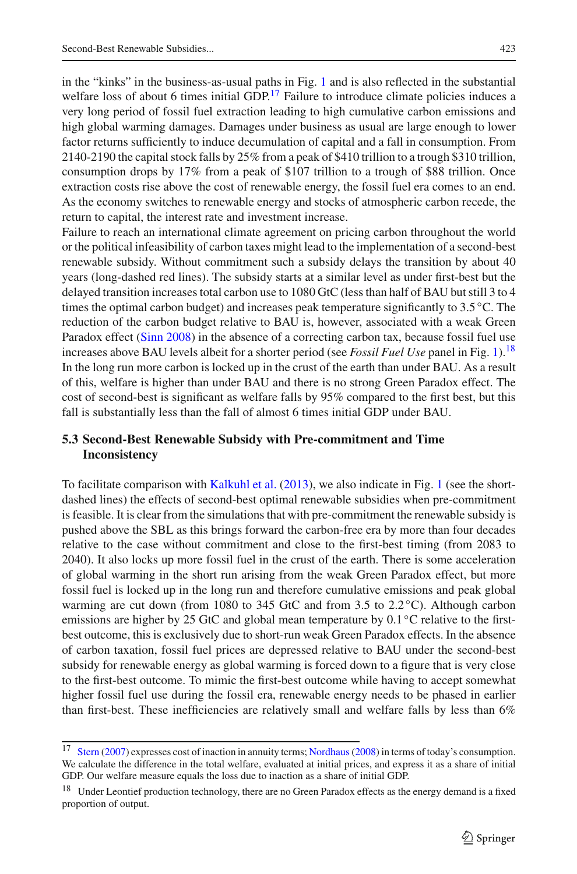in the "kinks" in the business-as-usual paths in Fig. [1](#page-12-0) and is also reflected in the substantial welfare loss of about 6 times initial GDP.<sup>[17](#page-14-0)</sup> Failure to introduce climate policies induces a very long period of fossil fuel extraction leading to high cumulative carbon emissions and high global warming damages. Damages under business as usual are large enough to lower factor returns sufficiently to induce decumulation of capital and a fall in consumption. From 2140-2190 the capital stock falls by 25% from a peak of \$410 trillion to a trough \$310 trillion, consumption drops by 17% from a peak of \$107 trillion to a trough of \$88 trillion. Once extraction costs rise above the cost of renewable energy, the fossil fuel era comes to an end. As the economy switches to renewable energy and stocks of atmospheric carbon recede, the return to capital, the interest rate and investment increase.

Failure to reach an international climate agreement on pricing carbon throughout the world or the political infeasibility of carbon taxes might lead to the implementation of a second-best renewable subsidy. Without commitment such a subsidy delays the transition by about 40 years (long-dashed red lines). The subsidy starts at a similar level as under first-best but the delayed transition increases total carbon use to 1080 GtC (less than half of BAU but still 3 to 4 times the optimal carbon budget) and increases peak temperature significantly to 3.5 ◦C. The reduction of the carbon budget relative to BAU is, however, associated with a weak Green Paradox effect [\(Sinn 2008\)](#page-25-6) in the absence of a correcting carbon tax, because fossil fuel use increases above BAU levels albeit for a shorter period (see *Fossil Fuel Use* panel in Fig. [1\)](#page-12-0).[18](#page-14-1) In the long run more carbon is locked up in the crust of the earth than under BAU. As a result of this, welfare is higher than under BAU and there is no strong Green Paradox effect. The cost of second-best is significant as welfare falls by 95% compared to the first best, but this fall is substantially less than the fall of almost 6 times initial GDP under BAU.

## **5.3 Second-Best Renewable Subsidy with Pre-commitment and Time Inconsistency**

To facilitate comparison with [Kalkuhl et al.](#page-24-3) [\(2013](#page-24-3)), we also indicate in Fig. [1](#page-12-0) (see the shortdashed lines) the effects of second-best optimal renewable subsidies when pre-commitment is feasible. It is clear from the simulations that with pre-commitment the renewable subsidy is pushed above the SBL as this brings forward the carbon-free era by more than four decades relative to the case without commitment and close to the first-best timing (from 2083 to 2040). It also locks up more fossil fuel in the crust of the earth. There is some acceleration of global warming in the short run arising from the weak Green Paradox effect, but more fossil fuel is locked up in the long run and therefore cumulative emissions and peak global warming are cut down (from 1080 to 345 GtC and from 3.5 to  $2.2\degree$ C). Although carbon emissions are higher by 25 GtC and global mean temperature by  $0.1\degree$ C relative to the firstbest outcome, this is exclusively due to short-run weak Green Paradox effects. In the absence of carbon taxation, fossil fuel prices are depressed relative to BAU under the second-best subsidy for renewable energy as global warming is forced down to a figure that is very close to the first-best outcome. To mimic the first-best outcome while having to accept somewhat higher fossil fuel use during the fossil era, renewable energy needs to be phased in earlier than first-best. These inefficiencies are relatively small and welfare falls by less than 6%

<span id="page-14-0"></span><sup>&</sup>lt;sup>17</sup> [Stern](#page-25-16) [\(2007\)](#page-25-16) expresses cost of inaction in annuity terms; Nordhaus (2008) in terms of today's consumption. We calculate the difference in the total welfare, evaluated at initial prices, and express it as a share of initial GDP. Our welfare measure equals the loss due to inaction as a share of initial GDP.

<span id="page-14-1"></span><sup>&</sup>lt;sup>18</sup> Under Leontief production technology, there are no Green Paradox effects as the energy demand is a fixed proportion of output.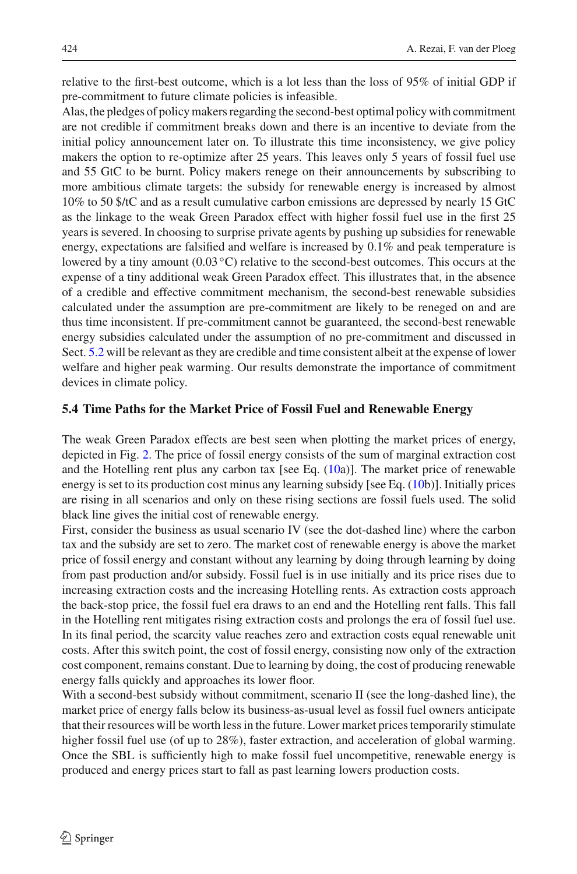relative to the first-best outcome, which is a lot less than the loss of 95% of initial GDP if pre-commitment to future climate policies is infeasible.

Alas, the pledges of policy makers regarding the second-best optimal policy with commitment are not credible if commitment breaks down and there is an incentive to deviate from the initial policy announcement later on. To illustrate this time inconsistency, we give policy makers the option to re-optimize after 25 years. This leaves only 5 years of fossil fuel use and 55 GtC to be burnt. Policy makers renege on their announcements by subscribing to more ambitious climate targets: the subsidy for renewable energy is increased by almost 10% to 50 \$/tC and as a result cumulative carbon emissions are depressed by nearly 15 GtC as the linkage to the weak Green Paradox effect with higher fossil fuel use in the first 25 years is severed. In choosing to surprise private agents by pushing up subsidies for renewable energy, expectations are falsified and welfare is increased by 0.1% and peak temperature is lowered by a tiny amount  $(0.03 \degree C)$  relative to the second-best outcomes. This occurs at the expense of a tiny additional weak Green Paradox effect. This illustrates that, in the absence of a credible and effective commitment mechanism, the second-best renewable subsidies calculated under the assumption are pre-commitment are likely to be reneged on and are thus time inconsistent. If pre-commitment cannot be guaranteed, the second-best renewable energy subsidies calculated under the assumption of no pre-commitment and discussed in Sect. [5.2](#page-13-3) will be relevant as they are credible and time consistent albeit at the expense of lower welfare and higher peak warming. Our results demonstrate the importance of commitment devices in climate policy.

## **5.4 Time Paths for the Market Price of Fossil Fuel and Renewable Energy**

The weak Green Paradox effects are best seen when plotting the market prices of energy, depicted in Fig. [2.](#page-16-1) The price of fossil energy consists of the sum of marginal extraction cost and the Hotelling rent plus any carbon tax [see Eq.  $(10a)$  $(10a)$ ]. The market price of renewable energy is set to its production cost minus any learning subsidy [see Eq. [\(10b](#page-5-2))]. Initially prices are rising in all scenarios and only on these rising sections are fossil fuels used. The solid black line gives the initial cost of renewable energy.

First, consider the business as usual scenario IV (see the dot-dashed line) where the carbon tax and the subsidy are set to zero. The market cost of renewable energy is above the market price of fossil energy and constant without any learning by doing through learning by doing from past production and/or subsidy. Fossil fuel is in use initially and its price rises due to increasing extraction costs and the increasing Hotelling rents. As extraction costs approach the back-stop price, the fossil fuel era draws to an end and the Hotelling rent falls. This fall in the Hotelling rent mitigates rising extraction costs and prolongs the era of fossil fuel use. In its final period, the scarcity value reaches zero and extraction costs equal renewable unit costs. After this switch point, the cost of fossil energy, consisting now only of the extraction cost component, remains constant. Due to learning by doing, the cost of producing renewable energy falls quickly and approaches its lower floor.

With a second-best subsidy without commitment, scenario II (see the long-dashed line), the market price of energy falls below its business-as-usual level as fossil fuel owners anticipate that their resources will be worth less in the future. Lower market prices temporarily stimulate higher fossil fuel use (of up to 28%), faster extraction, and acceleration of global warming. Once the SBL is sufficiently high to make fossil fuel uncompetitive, renewable energy is produced and energy prices start to fall as past learning lowers production costs.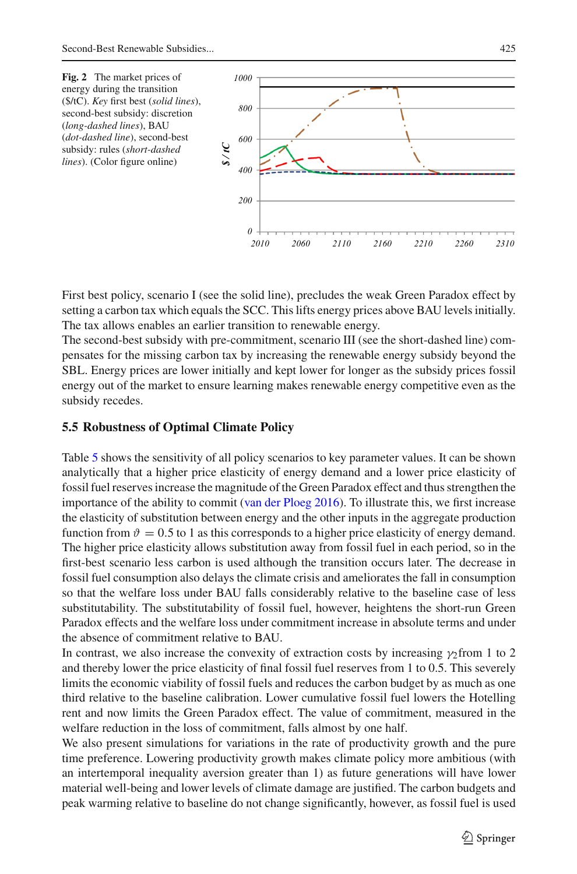<span id="page-16-1"></span>

First best policy, scenario I (see the solid line), precludes the weak Green Paradox effect by setting a carbon tax which equals the SCC. This lifts energy prices above BAU levels initially. The tax allows enables an earlier transition to renewable energy.

The second-best subsidy with pre-commitment, scenario III (see the short-dashed line) compensates for the missing carbon tax by increasing the renewable energy subsidy beyond the SBL. Energy prices are lower initially and kept lower for longer as the subsidy prices fossil energy out of the market to ensure learning makes renewable energy competitive even as the subsidy recedes.

### <span id="page-16-0"></span>**5.5 Robustness of Optimal Climate Policy**

Table [5](#page-17-0) shows the sensitivity of all policy scenarios to key parameter values. It can be shown analytically that a higher price elasticity of energy demand and a lower price elasticity of fossil fuel reserves increase the magnitude of the Green Paradox effect and thus strengthen the importance of the ability to commit [\(van der Ploeg 2016\)](#page-25-5). To illustrate this, we first increase the elasticity of substitution between energy and the other inputs in the aggregate production function from  $\vartheta = 0.5$  to 1 as this corresponds to a higher price elasticity of energy demand. The higher price elasticity allows substitution away from fossil fuel in each period, so in the first-best scenario less carbon is used although the transition occurs later. The decrease in fossil fuel consumption also delays the climate crisis and ameliorates the fall in consumption so that the welfare loss under BAU falls considerably relative to the baseline case of less substitutability. The substitutability of fossil fuel, however, heightens the short-run Green Paradox effects and the welfare loss under commitment increase in absolute terms and under the absence of commitment relative to BAU.

In contrast, we also increase the convexity of extraction costs by increasing  $\gamma_2$  from 1 to 2 and thereby lower the price elasticity of final fossil fuel reserves from 1 to 0.5. This severely limits the economic viability of fossil fuels and reduces the carbon budget by as much as one third relative to the baseline calibration. Lower cumulative fossil fuel lowers the Hotelling rent and now limits the Green Paradox effect. The value of commitment, measured in the welfare reduction in the loss of commitment, falls almost by one half.

We also present simulations for variations in the rate of productivity growth and the pure time preference. Lowering productivity growth makes climate policy more ambitious (with an intertemporal inequality aversion greater than 1) as future generations will have lower material well-being and lower levels of climate damage are justified. The carbon budgets and peak warming relative to baseline do not change significantly, however, as fossil fuel is used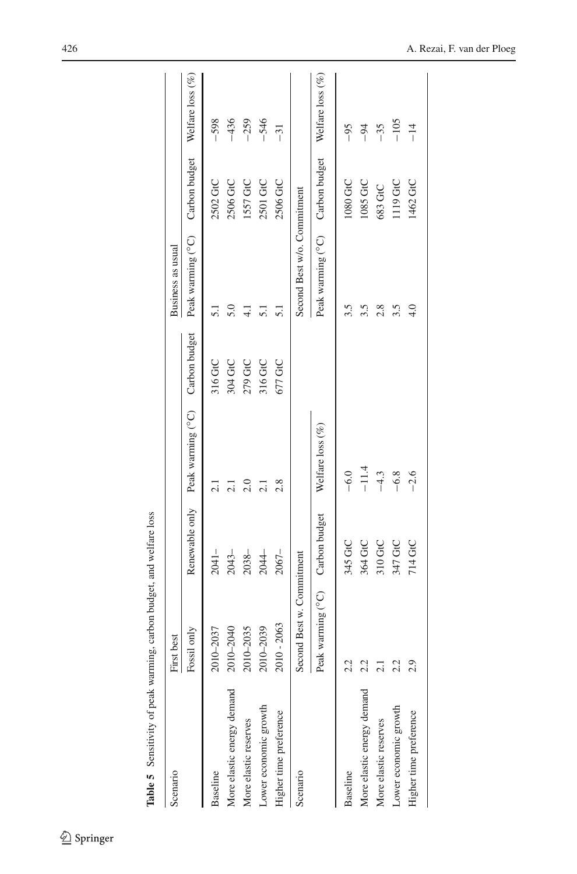| Table 5 Sensitivity of peak warming, carbon budget, and welfare loss |                                 |                |                   |               |                                 |               |                  |
|----------------------------------------------------------------------|---------------------------------|----------------|-------------------|---------------|---------------------------------|---------------|------------------|
| Scenario                                                             | First best                      |                |                   |               | Business as usual               |               |                  |
|                                                                      | Fossil only                     | Renewable only | Peak warming (°C) | Carbon budget | Peak warming (°C)               | Carbon budget | Welfare loss (%) |
| <b>Baseline</b>                                                      | 2010-2037                       | $2041 -$       | $\overline{c}$    | 316 GtC       |                                 | 2502 GtC      | $-598$           |
| More elastic energy demand                                           | 2010-2040                       | $2043 -$       | $\overline{2.1}$  | 304 GtC       | 5.0                             | 2506 GtC      | $-436$           |
| More elastic reserves                                                | $0 - 2035$<br><b>201</b>        | 2038-          | $\frac{0}{2}$     | 279 GtC       | $\frac{1}{4}$                   | 1557 GtC      | $-259$           |
| Lower economic growth                                                | $0 - 2039$<br>$\overline{201}$  | 2044           | $\overline{21}$   | 316 GtC       | $\overline{51}$                 | 2501 GtC      | $-546$           |
| Higher time preference                                               | $0 - 2063$<br>201               | $2067 -$       | 2.8               | 677 GtC       |                                 | 2506 GtC      | $-31$            |
| Scenario                                                             | Second Best w. Commitment       |                |                   |               | Second Best w/o. Commitment     |               |                  |
|                                                                      | Peak warming (°C) Carbon budget |                | Welfare loss (%)  |               | Peak warming (°C) Carbon budget |               | Welfare loss (%) |
| Baseline                                                             | 2.2                             | 345 GtC        | $-6.0$            |               | 3.5                             | 1080 GtC      | $-95$            |
| More elastic energy demand                                           | 2.2                             | 364 GtC        | $-11.4$           |               | 3.5                             | 1085 GtC      | $-94$            |
| More elastic reserves                                                | 2.1                             | 310 GtC        | $-4.3$            |               | 2.8                             | 683 GtC       | $-35$            |
| Lower economic growth                                                | 2.2                             | 347 GtC        | $-6.8$            |               | 3.5                             | 1119 GtC      | $-105$           |
| Higher time preference                                               | 2.9                             | 714 GtC        | $-2.6$            |               | $\frac{0}{4}$                   | 1462 GtC      | $-14$            |
|                                                                      |                                 |                |                   |               |                                 |               |                  |

<span id="page-17-0"></span>Table 5 Sensitivity of peak warming, carbon budget, and welfare loss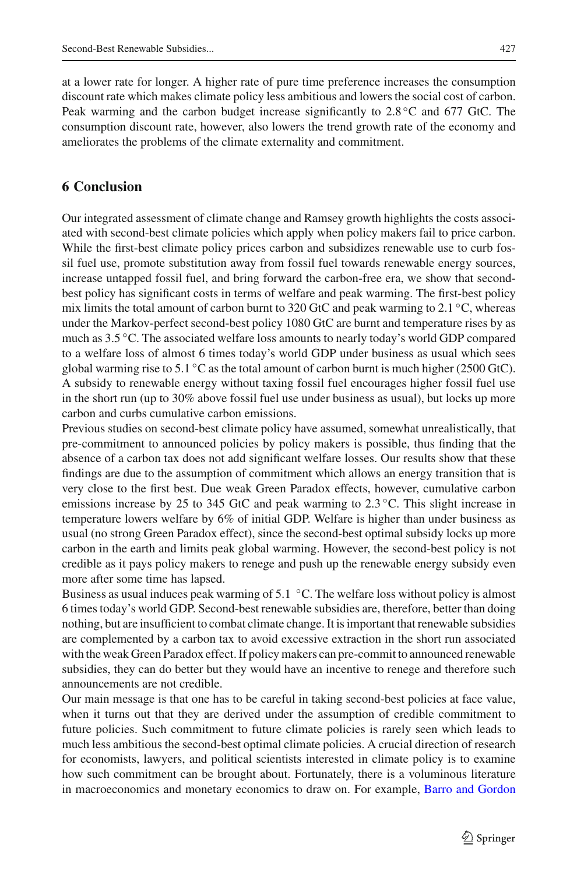at a lower rate for longer. A higher rate of pure time preference increases the consumption discount rate which makes climate policy less ambitious and lowers the social cost of carbon. Peak warming and the carbon budget increase significantly to 2.8 ℃ and 677 GtC. The consumption discount rate, however, also lowers the trend growth rate of the economy and ameliorates the problems of the climate externality and commitment.

## <span id="page-18-0"></span>**6 Conclusion**

Our integrated assessment of climate change and Ramsey growth highlights the costs associated with second-best climate policies which apply when policy makers fail to price carbon. While the first-best climate policy prices carbon and subsidizes renewable use to curb fossil fuel use, promote substitution away from fossil fuel towards renewable energy sources, increase untapped fossil fuel, and bring forward the carbon-free era, we show that secondbest policy has significant costs in terms of welfare and peak warming. The first-best policy mix limits the total amount of carbon burnt to 320 GtC and peak warming to 2.1 ◦C, whereas under the Markov-perfect second-best policy 1080 GtC are burnt and temperature rises by as much as 3.5 ◦C. The associated welfare loss amounts to nearly today's world GDP compared to a welfare loss of almost 6 times today's world GDP under business as usual which sees global warming rise to  $5.1 \text{ °C}$  as the total amount of carbon burnt is much higher (2500 GtC). A subsidy to renewable energy without taxing fossil fuel encourages higher fossil fuel use in the short run (up to 30% above fossil fuel use under business as usual), but locks up more carbon and curbs cumulative carbon emissions.

Previous studies on second-best climate policy have assumed, somewhat unrealistically, that pre-commitment to announced policies by policy makers is possible, thus finding that the absence of a carbon tax does not add significant welfare losses. Our results show that these findings are due to the assumption of commitment which allows an energy transition that is very close to the first best. Due weak Green Paradox effects, however, cumulative carbon emissions increase by 25 to 345 GtC and peak warming to 2.3 ◦C. This slight increase in temperature lowers welfare by 6% of initial GDP. Welfare is higher than under business as usual (no strong Green Paradox effect), since the second-best optimal subsidy locks up more carbon in the earth and limits peak global warming. However, the second-best policy is not credible as it pays policy makers to renege and push up the renewable energy subsidy even more after some time has lapsed.

Business as usual induces peak warming of 5.1 ◦C. The welfare loss without policy is almost 6 times today's world GDP. Second-best renewable subsidies are, therefore, better than doing nothing, but are insufficient to combat climate change. It is important that renewable subsidies are complemented by a carbon tax to avoid excessive extraction in the short run associated with the weak Green Paradox effect. If policy makers can pre-commit to announced renewable subsidies, they can do better but they would have an incentive to renege and therefore such announcements are not credible.

Our main message is that one has to be careful in taking second-best policies at face value, when it turns out that they are derived under the assumption of credible commitment to future policies. Such commitment to future climate policies is rarely seen which leads to much less ambitious the second-best optimal climate policies. A crucial direction of research for economists, lawyers, and political scientists interested in climate policy is to examine how such commitment can be brought about. Fortunately, there is a voluminous literature in macroeconomics and monetary economics to draw on. For example, [Barro and Gordon](#page-24-28)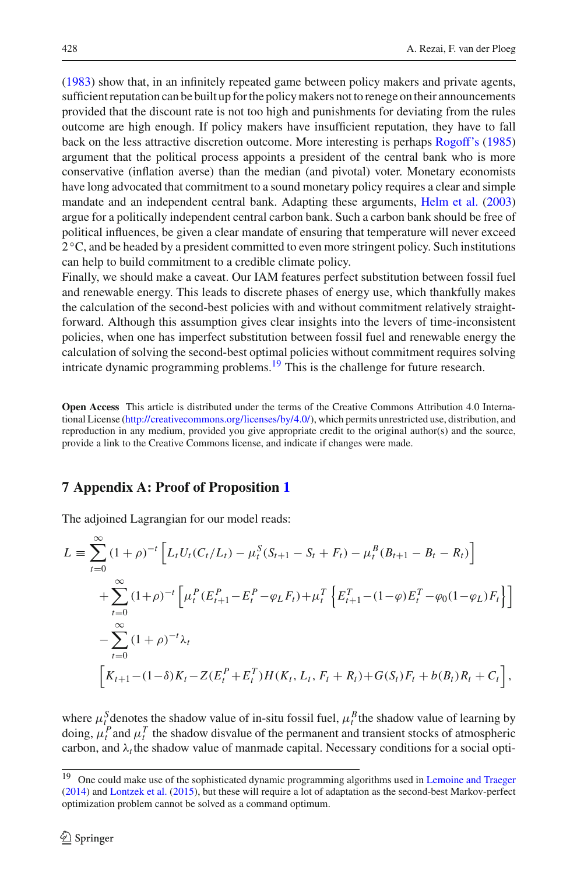[\(1983](#page-24-28)) show that, in an infinitely repeated game between policy makers and private agents, sufficient reputation can be built up for the policy makers not to renege on their announcements provided that the discount rate is not too high and punishments for deviating from the rules outcome are high enough. If policy makers have insufficient reputation, they have to fall back on the less attractive discretion outcome. More interesting is perhaps [Rogoff's](#page-25-17) [\(1985\)](#page-25-17) argument that the political process appoints a president of the central bank who is more conservative (inflation averse) than the median (and pivotal) voter. Monetary economists have long advocated that commitment to a sound monetary policy requires a clear and simple mandate and an independent central bank. Adapting these arguments, [Helm et al.](#page-24-29) [\(2003\)](#page-24-29) argue for a politically independent central carbon bank. Such a carbon bank should be free of political influences, be given a clear mandate of ensuring that temperature will never exceed  $2^{\circ}$ C, and be headed by a president committed to even more stringent policy. Such institutions can help to build commitment to a credible climate policy.

Finally, we should make a caveat. Our IAM features perfect substitution between fossil fuel and renewable energy. This leads to discrete phases of energy use, which thankfully makes the calculation of the second-best policies with and without commitment relatively straightforward. Although this assumption gives clear insights into the levers of time-inconsistent policies, when one has imperfect substitution between fossil fuel and renewable energy the calculation of solving the second-best optimal policies without commitment requires solving intricate dynamic programming problems[.19](#page-19-0) This is the challenge for future research.

**Open Access** This article is distributed under the terms of the Creative Commons Attribution 4.0 International License [\(http://creativecommons.org/licenses/by/4.0/\)](http://creativecommons.org/licenses/by/4.0/), which permits unrestricted use, distribution, and reproduction in any medium, provided you give appropriate credit to the original author(s) and the source, provide a link to the Creative Commons license, and indicate if changes were made.

## **7 Appendix A: Proof of Proposition [1](#page-5-4)**

The adjoined Lagrangian for our model reads:

$$
L = \sum_{t=0}^{\infty} (1+\rho)^{-t} \left[ L_t U_t (C_t/L_t) - \mu_t^S (S_{t+1} - S_t + F_t) - \mu_t^B (B_{t+1} - B_t - R_t) \right]
$$
  
+ 
$$
\sum_{t=0}^{\infty} (1+\rho)^{-t} \left[ \mu_t^P (E_{t+1}^P - E_t^P - \varphi_L F_t) + \mu_t^T \left\{ E_{t+1}^T - (1-\varphi) E_t^T - \varphi_0 (1-\varphi_L) F_t \right\} \right]
$$
  
- 
$$
\sum_{t=0}^{\infty} (1+\rho)^{-t} \lambda_t
$$
  

$$
\left[ K_{t+1} - (1-\delta) K_t - Z (E_t^P + E_t^T) H (K_t, L_t, F_t + R_t) + G (S_t) F_t + b (B_t) R_t + C_t \right],
$$

where  $\mu_{t_0}^S$  denotes the shadow value of in-situ fossil fuel,  $\mu_t^B$  the shadow value of learning by doing,  $\mu_t^P$  and  $\mu_t^T$  the shadow disvalue of the permanent and transient stocks of atmospheric carbon, and  $\lambda_t$  the shadow value of manmade capital. Necessary conditions for a social opti-

<span id="page-19-0"></span><sup>&</sup>lt;sup>19</sup> One could make use of the sophisticated dynamic programming algorithms used in [Lemoine and Traeger](#page-24-24) [\(2014\)](#page-24-24) and [Lontzek et al.](#page-24-25) [\(2015\)](#page-24-25), but these will require a lot of adaptation as the second-best Markov-perfect optimization problem cannot be solved as a command optimum.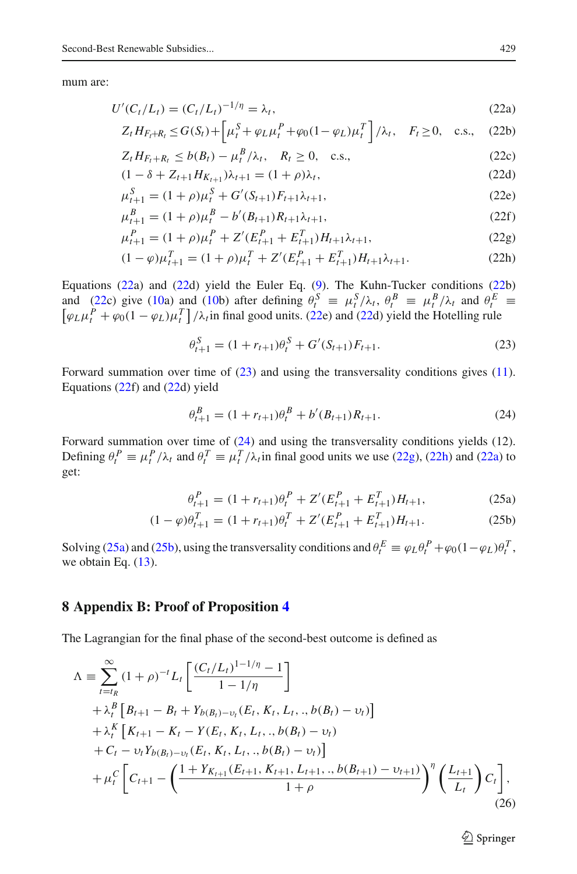<span id="page-20-0"></span>mum are:

$$
U'(C_t/L_t) = (C_t/L_t)^{-1/\eta} = \lambda_t,
$$
\n(22a)

$$
Z_t H_{F_t+R_t} \le G(S_t) + \left[\mu_t^S + \varphi_L \mu_t^P + \varphi_0 (1 - \varphi_L) \mu_t^T\right] / \lambda_t, \quad F_t \ge 0, \quad \text{c.s.,} \tag{22b}
$$

$$
Z_t H_{F_t+R_t} \le b(B_t) - \mu_t^B / \lambda_t, \quad R_t \ge 0, \quad \text{c.s.,}
$$
\n
$$
(22c)
$$

$$
(1 - \delta + Z_{t+1} H_{K_{t+1}}) \lambda_{t+1} = (1 + \rho) \lambda_t,
$$
\n(22d)

$$
\mu_{t+1}^S = (1+\rho)\mu_t^S + G'(S_{t+1})F_{t+1}\lambda_{t+1},\tag{22e}
$$

$$
\mu_{t+1}^B = (1+\rho)\mu_t^B - b'(B_{t+1})R_{t+1}\lambda_{t+1},\tag{22f}
$$

$$
\mu_{t+1}^P = (1+\rho)\mu_t^P + Z'(E_{t+1}^P + E_{t+1}^T)H_{t+1}\lambda_{t+1},\tag{22g}
$$

$$
(1 - \varphi)\mu_{t+1}^T = (1 + \rho)\mu_t^T + Z'(E_{t+1}^P + E_{t+1}^T)H_{t+1}\lambda_{t+1}.
$$
 (22h)

Equations [\(22a](#page-20-0)) and [\(22d](#page-20-0)) yield the Euler Eq. [\(9\)](#page-5-1). The Kuhn-Tucker conditions [\(22b](#page-20-0)) and [\(22c](#page-20-0)) give [\(10a](#page-5-2)) and [\(10b](#page-5-2)) after defining  $\theta_t^S \equiv \mu_t^S / \lambda_t$ ,  $\theta_t^B \equiv \mu_t^B / \lambda_t$  and  $\theta_t^E \equiv [\varphi_L \mu_t^P + \varphi_0 (1 - \varphi_L) \mu_t^T] / \lambda_t$  in final good units. [\(22e](#page-20-0)) and [\(22d](#page-20-0)) yield the Hotelling rule

$$
\theta_{t+1}^S = (1 + r_{t+1})\theta_t^S + G'(S_{t+1})F_{t+1}.
$$
\n(23)

<span id="page-20-1"></span>Forward summation over time of  $(23)$  and using the transversality conditions gives  $(11)$ . Equations [\(22f](#page-20-0)) and [\(22d](#page-20-0)) yield

$$
\theta_{t+1}^B = (1 + r_{t+1})\theta_t^B + b'(B_{t+1})R_{t+1}.
$$
\n(24)

<span id="page-20-3"></span><span id="page-20-2"></span>Forward summation over time of  $(24)$  and using the transversality conditions yields (12). Defining  $\theta_t^P \equiv \mu_t^P / \lambda_t$  and  $\theta_t^T \equiv \mu_t^T / \lambda_t$  in final good units we use [\(22g\)](#page-20-0), [\(22h\)](#page-20-0) and [\(22a\)](#page-20-0) to get:

$$
\theta_{t+1}^P = (1 + r_{t+1})\theta_t^P + Z'(E_{t+1}^P + E_{t+1}^T)H_{t+1},
$$
\n(25a)

$$
(1 - \varphi)\theta_{t+1}^T = (1 + r_{t+1})\theta_t^T + Z'(E_{t+1}^P + E_{t+1}^T)H_{t+1}.
$$
 (25b)

Solving [\(25a\)](#page-20-3) and [\(25b\)](#page-20-3), using the transversality conditions and  $\theta_t^E \equiv \varphi_L \theta_t^P + \varphi_0 (1 - \varphi_L) \theta_t^T$ , we obtain Eq.  $(13)$ .

## **8 Appendix B: Proof of Proposition [4](#page-9-3)**

The Lagrangian for the final phase of the second-best outcome is defined as

$$
\Lambda = \sum_{t=t_R}^{\infty} (1+\rho)^{-t} L_t \left[ \frac{(C_t/L_t)^{1-1/\eta} - 1}{1 - 1/\eta} \right] \n+ \lambda_t^B \left[ B_{t+1} - B_t + Y_{b(B_t) - v_t}(E_t, K_t, L_t,., b(B_t) - v_t) \right] \n+ \lambda_t^K \left[ K_{t+1} - K_t - Y(E_t, K_t, L_t,., b(B_t) - v_t) \right] \n+ C_t - v_t Y_{b(B_t) - v_t}(E_t, K_t, L_t,., b(B_t) - v_t) \n+ \mu_t^C \left[ C_{t+1} - \left( \frac{1 + Y_{K_{t+1}}(E_{t+1}, K_{t+1}, L_{t+1,., b(B_{t+1}) - v_{t+1})}{1 + \rho} \right)^{\eta} \left( \frac{L_{t+1}}{L_t} \right) C_t \right],
$$
\n(26)

 $\hat{\mathfrak{D}}$  Springer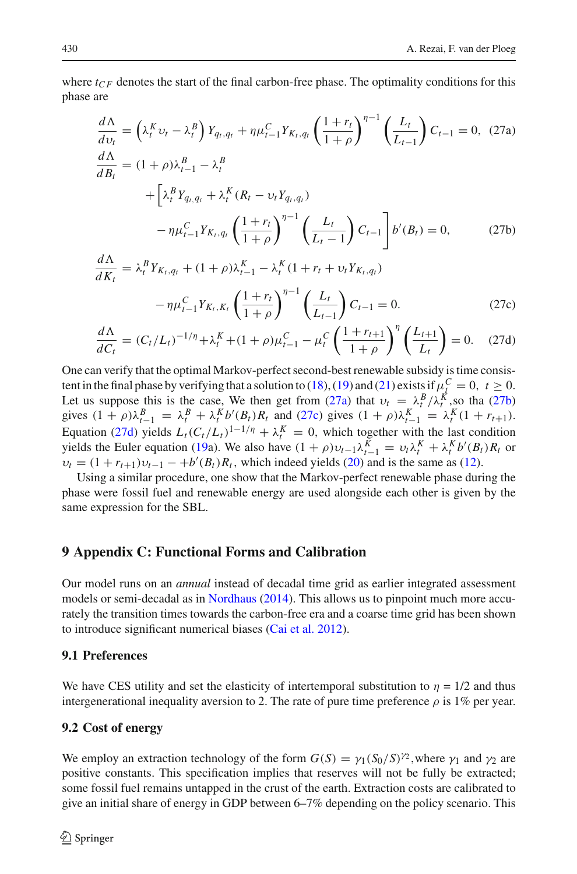<span id="page-21-0"></span>where  $t_{CF}$  denotes the start of the final carbon-free phase. The optimality conditions for this phase are

$$
\frac{d\Lambda}{dv_t} = \left(\lambda_t^K v_t - \lambda_t^B\right) Y_{q_t, q_t} + \eta \mu_{t-1}^C Y_{K_t, q_t} \left(\frac{1 + r_t}{1 + \rho}\right)^{\eta - 1} \left(\frac{L_t}{L_{t-1}}\right) C_{t-1} = 0, (27a)
$$
\n
$$
\frac{d\Lambda}{dB_t} = (1 + \rho)\lambda_{t-1}^B - \lambda_t^B
$$
\n
$$
+ \left[\lambda_t^B Y_{q_t, q_t} + \lambda_t^K (R_t - v_t Y_{q_t, q_t}) -\eta \mu_{t-1}^C Y_{K_t, q_t} \left(\frac{1 + r_t}{1 + \rho}\right)^{\eta - 1} \left(\frac{L_t}{L_t - 1}\right) C_{t-1}\right] b'(B_t) = 0, \qquad (27b)
$$
\n
$$
\frac{d\Lambda}{dt} = \lambda^B Y_{tt} + (1 + \rho)\lambda^K, \quad -\lambda^K (1 + r_t + \nu, Y_{tt} - \nu)
$$

$$
\frac{dK}{dK_t} = \lambda_t^B Y_{K_t, q_t} + (1 + \rho)\lambda_{t-1}^K - \lambda_t^K (1 + r_t + v_t Y_{K_t, q_t})
$$

$$
- \eta \mu_{t-1}^C Y_{K_t, K_t} \left(\frac{1 + r_t}{1 + \rho}\right)^{\eta - 1} \left(\frac{L_t}{L_{t-1}}\right) C_{t-1} = 0.
$$
(27c)

$$
\frac{d\Lambda}{dC_t} = (C_t/L_t)^{-1/\eta} + \lambda_t^K + (1+\rho)\mu_{t-1}^C - \mu_t^C \left(\frac{1+r_{t+1}}{1+\rho}\right)^{\eta} \left(\frac{L_{t+1}}{L_t}\right) = 0. \quad (27d)
$$

One can verify that the optimal Markov-perfect second-best renewable subsidy is time consis-tent in the final phase by verifying that a solution to [\(18\)](#page-8-1), [\(19\)](#page-8-2) and [\(21\)](#page-9-1) exists if  $\mu_t^C = 0$ ,  $t \ge 0$ . Let us suppose this is the case, We then get from [\(27a\)](#page-21-0) that  $v_t = \lambda_t^B / \lambda_t^K$ , so tha [\(27b\)](#page-21-0) gives  $(1 + \rho)\lambda_{t-1}^B = \lambda_t^B + \lambda_t^K b'(B_t)R_t$  and [\(27c\)](#page-21-0) gives  $(1 + \rho)\lambda_{t-1}^K = \lambda_t^K (1 + r_{t+1}).$ Equation [\(27d\)](#page-21-0) yields  $L_t(C_t/L_t)^{1-1/\eta} + \lambda_t^K = 0$ , which together with the last condition yields the Euler equation [\(19a](#page-8-2)). We also have  $(1 + \rho)v_{t-1}\lambda_{t-1}^K = v_t\lambda_t^K + \lambda_t^K b'(B_t)R_t$  or  $\nu_t = (1 + r_{t+1})\nu_{t-1} - \frac{1}{2}b'(B_t)R_t$ , which indeed yields [\(20\)](#page-9-2) and is the same as [\(12\)](#page-5-3).

Using a similar procedure, one show that the Markov-perfect renewable phase during the phase were fossil fuel and renewable energy are used alongside each other is given by the same expression for the SBL.

## **9 Appendix C: Functional Forms and Calibration**

Our model runs on an *annual* instead of decadal time grid as earlier integrated assessment models or semi-decadal as in [Nordhaus](#page-25-11) [\(2014\)](#page-25-11). This allows us to pinpoint much more accurately the transition times towards the carbon-free era and a coarse time grid has been shown to introduce significant numerical biases [\(Cai et al. 2012\)](#page-24-30).

#### **9.1 Preferences**

We have CES utility and set the elasticity of intertemporal substitution to  $\eta = 1/2$  and thus intergenerational inequality aversion to 2. The rate of pure time preference  $\rho$  is 1% per year.

## **9.2 Cost of energy**

We employ an extraction technology of the form  $G(S) = \gamma_1(S_0/S)^{\gamma_2}$ , where  $\gamma_1$  and  $\gamma_2$  are positive constants. This specification implies that reserves will not be fully be extracted; some fossil fuel remains untapped in the crust of the earth. Extraction costs are calibrated to give an initial share of energy in GDP between 6–7% depending on the policy scenario. This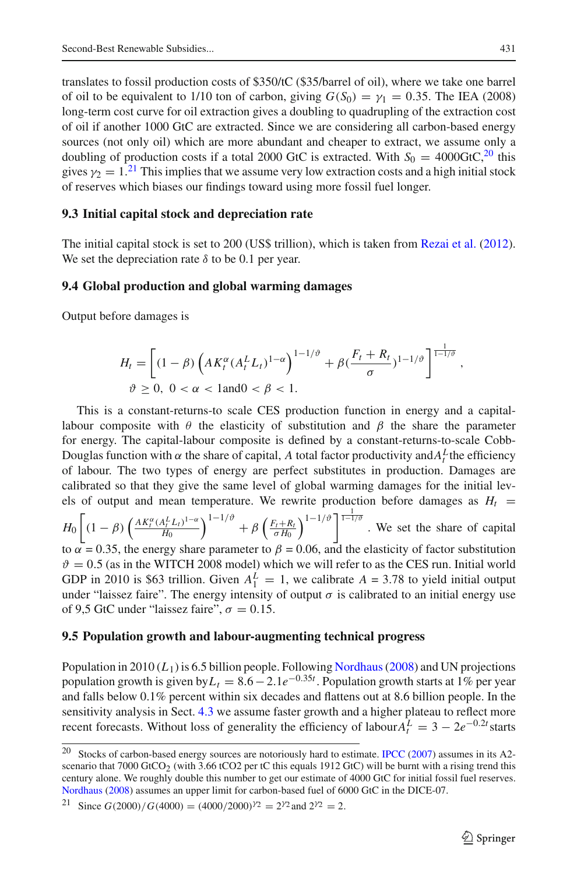translates to fossil production costs of \$350/tC (\$35/barrel of oil), where we take one barrel of oil to be equivalent to 1/10 ton of carbon, giving  $G(S_0) = \gamma_1 = 0.35$ . The IEA (2008) long-term cost curve for oil extraction gives a doubling to quadrupling of the extraction cost of oil if another 1000 GtC are extracted. Since we are considering all carbon-based energy sources (not only oil) which are more abundant and cheaper to extract, we assume only a doubling of production costs if a total 2000 GtC is extracted. With  $S_0 = 4000 \text{GtC}$ ,<sup>20</sup> this gives  $\gamma_2 = 1$ .<sup>[21](#page-22-1)</sup> This implies that we assume very low extraction costs and a high initial stock of reserves which biases our findings toward using more fossil fuel longer.

### **9.3 Initial capital stock and depreciation rate**

The initial capital stock is set to 200 (US\$ trillion), which is taken from [Rezai et al.](#page-25-18) [\(2012\)](#page-25-18). We set the depreciation rate  $\delta$  to be 0.1 per year.

## **9.4 Global production and global warming damages**

Output before damages is

$$
H_t = \left[ (1 - \beta) \left( A K_t^{\alpha} (A_t^L L_t)^{1 - \alpha} \right)^{1 - 1/\vartheta} + \beta \left( \frac{F_t + R_t}{\sigma} \right)^{1 - 1/\vartheta} \right]^{\frac{1}{1 - 1/\vartheta}},
$$
  

$$
\vartheta \ge 0, \ 0 < \alpha < 1 \text{ and } 0 < \beta < 1.
$$

This is a constant-returns-to scale CES production function in energy and a capitallabour composite with  $\theta$  the elasticity of substitution and  $\beta$  the share the parameter for energy. The capital-labour composite is defined by a constant-returns-to-scale Cobb-Douglas function with  $\alpha$  the share of capital, *A* total factor productivity and  $A_t^L$  the efficiency of labour. The two types of energy are perfect substitutes in production. Damages are calibrated so that they give the same level of global warming damages for the initial levels of output and mean temperature. We rewrite production before damages as  $H_t$  =

 $H_0\left[\left(1-\beta\right)\left(\frac{AK_t^{\alpha}(A_t^L L_t)^{1-\alpha}}{H_0}\right)^{1-1/\vartheta}+\beta\left(\frac{F_t+R_t}{\sigma H_0}\right)^{1-1/\vartheta}\right]^\frac{1}{1-1/\vartheta}$ . We set the share of capital

to  $\alpha = 0.35$ , the energy share parameter to  $\beta = 0.06$ , and the elasticity of factor substitution  $\vartheta = 0.5$  (as in the WITCH 2008 model) which we will refer to as the CES run. Initial world GDP in 2010 is \$63 trillion. Given  $A_1^L = 1$ , we calibrate  $A = 3.78$  to yield initial output under "laissez faire". The energy intensity of output  $\sigma$  is calibrated to an initial energy use of 9,5 GtC under "laissez faire",  $\sigma = 0.15$ .

#### **9.5 Population growth and labour-augmenting technical progress**

Population in 2010 (*L*<sub>1</sub>) is 6.5 billion people. Following Nordhaus (2008) and UN projections population growth is given by  $L_t = 8.6 - 2.1e^{-0.35t}$ . Population growth starts at 1% per year and falls below 0.1% percent within six decades and flattens out at 8.6 billion people. In the sensitivity analysis in Sect. [4.3](#page-10-3) we assume faster growth and a higher plateau to reflect more recent forecasts. Without loss of generality the efficiency of labour $A_t^L = 3 - 2e^{-0.2t}$  starts

<span id="page-22-0"></span><sup>&</sup>lt;sup>20</sup> Stocks of carbon-based energy sources are notoriously hard to estimate. [IPCC](#page-24-19) [\(2007](#page-24-19)) assumes in its A2scenario that 7000 GtCO<sub>2</sub> (with 3.66 tCO2 per tC this equals 1912 GtC) will be burnt with a rising trend this century alone. We roughly double this number to get our estimate of 4000 GtC for initial fossil fuel reserves. [Nordhaus](#page-25-0) [\(2008\)](#page-25-0) assumes an upper limit for carbon-based fuel of 6000 GtC in the DICE-07.

<span id="page-22-1"></span><sup>&</sup>lt;sup>21</sup> Since  $G(2000)/G(4000) = (4000/2000)^{2} = 2^{2}$  and  $2^{2} = 2$ .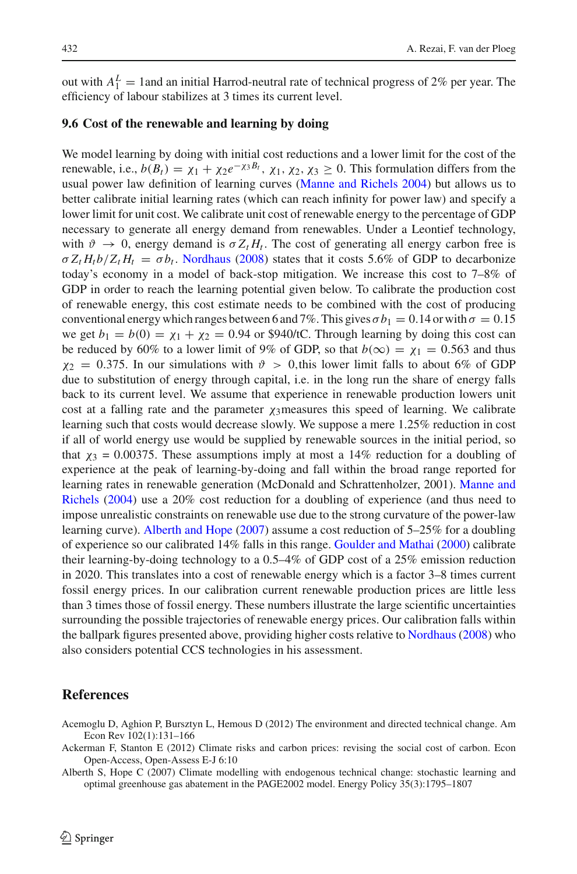out with  $A_1^L = 1$  and an initial Harrod-neutral rate of technical progress of 2% per year. The efficiency of labour stabilizes at 3 times its current level.

#### **9.6 Cost of the renewable and learning by doing**

We model learning by doing with initial cost reductions and a lower limit for the cost of the renewable, i.e.,  $b(B_t) = \chi_1 + \chi_2 e^{-\chi_3 B_t}$ ,  $\chi_1, \chi_2, \chi_3 \ge 0$ . This formulation differs from the usual power law definition of learning curves [\(Manne and Richels 2004](#page-25-9)) but allows us to better calibrate initial learning rates (which can reach infinity for power law) and specify a lower limit for unit cost. We calibrate unit cost of renewable energy to the percentage of GDP necessary to generate all energy demand from renewables. Under a Leontief technology, with  $\vartheta \to 0$ , energy demand is  $\sigma Z_t H_t$ . The cost of generating all energy carbon free is  $\sigma Z_t H_t b/Z_t H_t = \sigma b_t$ . [Nordhaus](#page-25-0) [\(2008](#page-25-0)) states that it costs 5.6% of GDP to decarbonize today's economy in a model of back-stop mitigation. We increase this cost to 7–8% of GDP in order to reach the learning potential given below. To calibrate the production cost of renewable energy, this cost estimate needs to be combined with the cost of producing conventional energy which ranges between 6 and 7%. This gives  $\sigma b_1 = 0.14$  or with  $\sigma = 0.15$ we get  $b_1 = b(0) = \chi_1 + \chi_2 = 0.94$  or \$940/tC. Through learning by doing this cost can be reduced by 60% to a lower limit of 9% of GDP, so that  $b(\infty) = \chi_1 = 0.563$  and thus  $\chi_2$  = 0.375. In our simulations with  $\vartheta > 0$ , this lower limit falls to about 6% of GDP due to substitution of energy through capital, i.e. in the long run the share of energy falls back to its current level. We assume that experience in renewable production lowers unit cost at a falling rate and the parameter  $\chi_3$  measures this speed of learning. We calibrate learning such that costs would decrease slowly. We suppose a mere 1.25% reduction in cost if all of world energy use would be supplied by renewable sources in the initial period, so that  $\chi_3 = 0.00375$ . These assumptions imply at most a 14% reduction for a doubling of experience at the peak of learning-by-doing and fall within the broad range reported for learnin[g](#page-25-9) [rates](#page-25-9) [in](#page-25-9) [renewable](#page-25-9) [generation](#page-25-9) [\(McDonald](#page-25-9) [and](#page-25-9) [Schrattenholzer,](#page-25-9) [2001\).](#page-25-9) Manne and Richels [\(2004](#page-25-9)) use a 20% cost reduction for a doubling of experience (and thus need to impose unrealistic constraints on renewable use due to the strong curvature of the power-law learning curve). [Alberth and Hope](#page-23-2) [\(2007\)](#page-23-2) assume a cost reduction of 5–25% for a doubling of experience so our calibrated 14% falls in this range. [Goulder and Mathai](#page-24-0) [\(2000](#page-24-0)) calibrate their learning-by-doing technology to a 0.5–4% of GDP cost of a 25% emission reduction in 2020. This translates into a cost of renewable energy which is a factor 3–8 times current fossil energy prices. In our calibration current renewable production prices are little less than 3 times those of fossil energy. These numbers illustrate the large scientific uncertainties surrounding the possible trajectories of renewable energy prices. Our calibration falls within the ballpark figures presented above, providing higher costs relative to [Nordhaus](#page-25-0) [\(2008\)](#page-25-0) who also considers potential CCS technologies in his assessment.

### **References**

<span id="page-23-1"></span>Acemoglu D, Aghion P, Bursztyn L, Hemous D (2012) The environment and directed technical change. Am Econ Rev 102(1):131–166

<span id="page-23-0"></span>Ackerman F, Stanton E (2012) Climate risks and carbon prices: revising the social cost of carbon. Econ Open-Access, Open-Assess E-J 6:10

<span id="page-23-2"></span>Alberth S, Hope C (2007) Climate modelling with endogenous technical change: stochastic learning and optimal greenhouse gas abatement in the PAGE2002 model. Energy Policy 35(3):1795–1807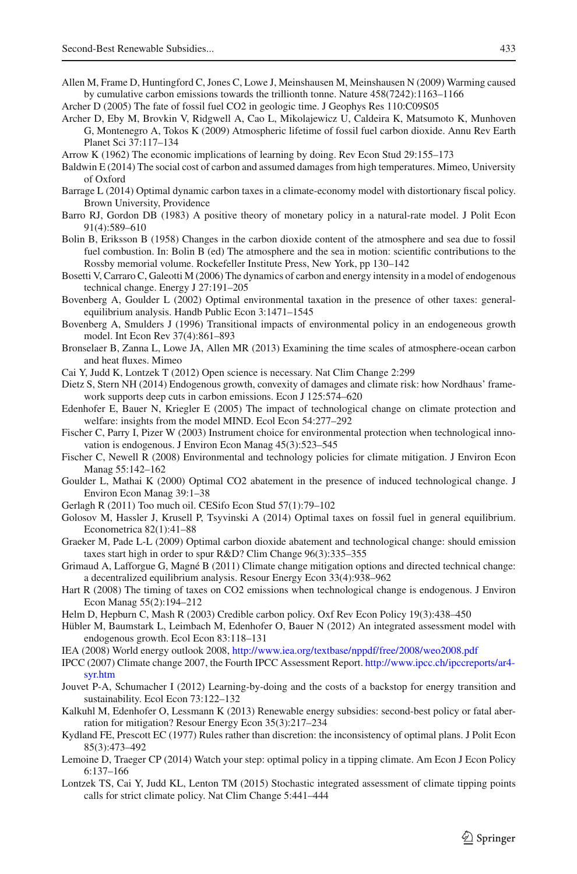<span id="page-24-21"></span>Allen M, Frame D, Huntingford C, Jones C, Lowe J, Meinshausen M, Meinshausen N (2009) Warming caused by cumulative carbon emissions towards the trillionth tonne. Nature 458(7242):1163–1166

<span id="page-24-17"></span>Archer D (2005) The fate of fossil fuel CO2 in geologic time. J Geophys Res 110:C09S05

- <span id="page-24-18"></span>Archer D, Eby M, Brovkin V, Ridgwell A, Cao L, Mikolajewicz U, Caldeira K, Matsumoto K, Munhoven G, Montenegro A, Tokos K (2009) Atmospheric lifetime of fossil fuel carbon dioxide. Annu Rev Earth Planet Sci 37:117–134
- <span id="page-24-8"></span>Arrow K (1962) The economic implications of learning by doing. Rev Econ Stud 29:155–173
- <span id="page-24-23"></span>Baldwin E (2014) The social cost of carbon and assumed damages from high temperatures. Mimeo, University of Oxford
- <span id="page-24-6"></span>Barrage L (2014) Optimal dynamic carbon taxes in a climate-economy model with distortionary fiscal policy. Brown University, Providence
- <span id="page-24-28"></span>Barro RJ, Gordon DB (1983) A positive theory of monetary policy in a natural-rate model. J Polit Econ 91(4):589–610
- <span id="page-24-20"></span>Bolin B, Eriksson B (1958) Changes in the carbon dioxide content of the atmosphere and sea due to fossil fuel combustion. In: Bolin B (ed) The atmosphere and the sea in motion: scientific contributions to the Rossby memorial volume. Rockefeller Institute Press, New York, pp 130–142
- <span id="page-24-14"></span>Bosetti V, Carraro C, Galeotti M (2006) The dynamics of carbon and energy intensity in a model of endogenous technical change. Energy J 27:191–205
- <span id="page-24-5"></span>Bovenberg A, Goulder L (2002) Optimal environmental taxation in the presence of other taxes: generalequilibrium analysis. Handb Public Econ 3:1471–1545
- <span id="page-24-26"></span>Bovenberg A, Smulders J (1996) Transitional impacts of environmental policy in an endogeneous growth model. Int Econ Rev 37(4):861–893
- <span id="page-24-22"></span>Bronselaer B, Zanna L, Lowe JA, Allen MR (2013) Examining the time scales of atmosphere-ocean carbon and heat fluxes. Mimeo
- <span id="page-24-30"></span>Cai Y, Judd K, Lontzek T (2012) Open science is necessary. Nat Clim Change 2:299
- <span id="page-24-16"></span>Dietz S, Stern NH (2014) Endogenous growth, convexity of damages and climate risk: how Nordhaus' framework supports deep cuts in carbon emissions. Econ J 125:574–620
- <span id="page-24-1"></span>Edenhofer E, Bauer N, Kriegler E (2005) The impact of technological change on climate protection and welfare: insights from the model MIND. Ecol Econ 54:277–292
- <span id="page-24-4"></span>Fischer C, Parry I, Pizer W (2003) Instrument choice for environmental protection when technological innovation is endogenous. J Environ Econ Manag 45(3):523–545
- <span id="page-24-11"></span>Fischer C, Newell R (2008) Environmental and technology policies for climate mitigation. J Environ Econ Manag 55:142–162
- <span id="page-24-0"></span>Goulder L, Mathai K (2000) Optimal CO2 abatement in the presence of induced technological change. J Environ Econ Manag 39:1–38
- <span id="page-24-7"></span>Gerlagh R (2011) Too much oil. CESifo Econ Stud 57(1):79–102
- <span id="page-24-15"></span>Golosov M, Hassler J, Krusell P, Tsyvinski A (2014) Optimal taxes on fossil fuel in general equilibrium. Econometrica 82(1):41–88
- <span id="page-24-13"></span>Graeker M, Pade L-L (2009) Optimal carbon dioxide abatement and technological change: should emission taxes start high in order to spur R&D? Clim Change 96(3):335–355
- <span id="page-24-2"></span>Grimaud A, Lafforgue G, Magné B (2011) Climate change mitigation options and directed technical change: a decentralized equilibrium analysis. Resour Energy Econ 33(4):938–962
- <span id="page-24-12"></span>Hart R (2008) The timing of taxes on CO2 emissions when technological change is endogenous. J Environ Econ Manag 55(2):194–212
- <span id="page-24-29"></span>Helm D, Hepburn C, Mash R (2003) Credible carbon policy. Oxf Rev Econ Policy 19(3):438–450
- <span id="page-24-10"></span>Hübler M, Baumstark L, Leimbach M, Edenhofer O, Bauer N (2012) An integrated assessment model with endogenous growth. Ecol Econ 83:118–131
- IEA (2008) World energy outlook 2008, <http://www.iea.org/textbase/nppdf/free/2008/weo2008.pdf>
- <span id="page-24-19"></span>IPCC (2007) Climate change 2007, the Fourth IPCC Assessment Report. [http://www.ipcc.ch/ipccreports/ar4](http://www.ipcc.ch/ipccreports/ar4-syr.htm) [syr.htm](http://www.ipcc.ch/ipccreports/ar4-syr.htm)
- <span id="page-24-9"></span>Jouvet P-A, Schumacher I (2012) Learning-by-doing and the costs of a backstop for energy transition and sustainability. Ecol Econ 73:122–132
- <span id="page-24-3"></span>Kalkuhl M, Edenhofer O, Lessmann K (2013) Renewable energy subsidies: second-best policy or fatal aberration for mitigation? Resour Energy Econ 35(3):217–234
- <span id="page-24-27"></span>Kydland FE, Prescott EC (1977) Rules rather than discretion: the inconsistency of optimal plans. J Polit Econ 85(3):473–492
- <span id="page-24-24"></span>Lemoine D, Traeger CP (2014) Watch your step: optimal policy in a tipping climate. Am Econ J Econ Policy 6:137–166
- <span id="page-24-25"></span>Lontzek TS, Cai Y, Judd KL, Lenton TM (2015) Stochastic integrated assessment of climate tipping points calls for strict climate policy. Nat Clim Change 5:441–444